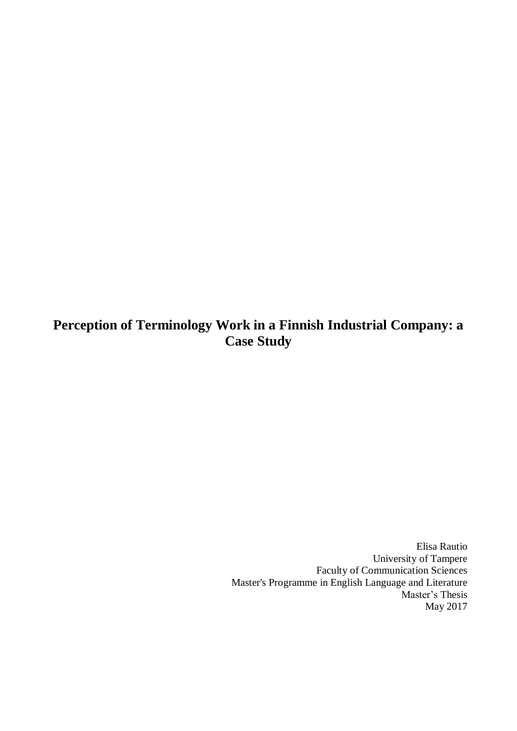# **Perception of Terminology Work in a Finnish Industrial Company: a Case Study**

Elisa Rautio University of Tampere Faculty of Communication Sciences Master's Programme in English Language and Literature Master's Thesis May 2017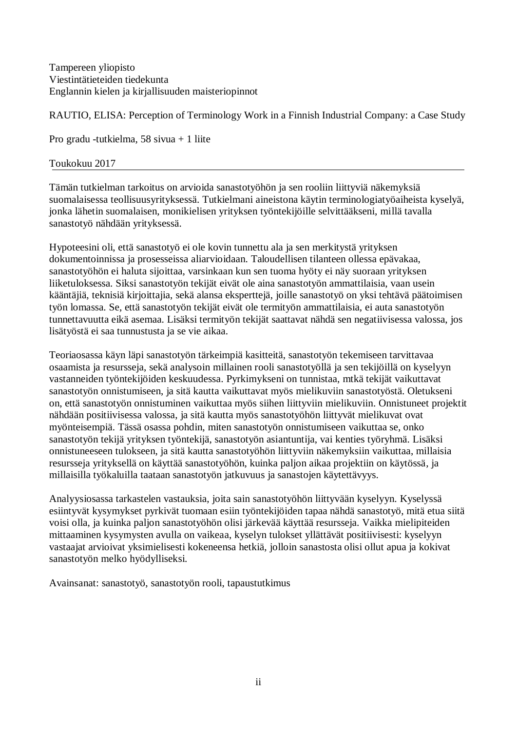Tampereen yliopisto Viestintätieteiden tiedekunta Englannin kielen ja kirjallisuuden maisteriopinnot

RAUTIO, ELISA: Perception of Terminology Work in a Finnish Industrial Company: a Case Study

Pro gradu -tutkielma, 58 sivua + 1 liite

# Toukokuu 2017

Tämän tutkielman tarkoitus on arvioida sanastotyöhön ja sen rooliin liittyviä näkemyksiä suomalaisessa teollisuusyrityksessä. Tutkielmani aineistona käytin terminologiatyöaiheista kyselyä, jonka lähetin suomalaisen, monikielisen yrityksen työntekijöille selvittääkseni, millä tavalla sanastotyö nähdään yrityksessä.

Hypoteesini oli, että sanastotyö ei ole kovin tunnettu ala ja sen merkitystä yrityksen dokumentoinnissa ja prosesseissa aliarvioidaan. Taloudellisen tilanteen ollessa epävakaa, sanastotyöhön ei haluta sijoittaa, varsinkaan kun sen tuoma hyöty ei näy suoraan yrityksen liiketuloksessa. Siksi sanastotyön tekijät eivät ole aina sanastotyön ammattilaisia, vaan usein kääntäjiä, teknisiä kirjoittajia, sekä alansa eksperttejä, joille sanastotyö on yksi tehtävä päätoimisen työn lomassa. Se, että sanastotyön tekijät eivät ole termityön ammattilaisia, ei auta sanastotyön tunnettavuutta eikä asemaa. Lisäksi termityön tekijät saattavat nähdä sen negatiivisessa valossa, jos lisätyöstä ei saa tunnustusta ja se vie aikaa.

Teoriaosassa käyn läpi sanastotyön tärkeimpiä kasitteitä, sanastotyön tekemiseen tarvittavaa osaamista ja resursseja, sekä analysoin millainen rooli sanastotyöllä ja sen tekijöillä on kyselyyn vastanneiden työntekijöiden keskuudessa. Pyrkimykseni on tunnistaa, mtkä tekijät vaikuttavat sanastotyön onnistumiseen, ja sitä kautta vaikuttavat myös mielikuviin sanastotyöstä. Oletukseni on, että sanastotyön onnistuminen vaikuttaa myös siihen liittyviin mielikuviin. Onnistuneet projektit nähdään positiivisessa valossa, ja sitä kautta myös sanastotyöhön liittyvät mielikuvat ovat myönteisempiä. Tässä osassa pohdin, miten sanastotyön onnistumiseen vaikuttaa se, onko sanastotyön tekijä yrityksen työntekijä, sanastotyön asiantuntija, vai kenties työryhmä. Lisäksi onnistuneeseen tulokseen, ja sitä kautta sanastotyöhön liittyviin näkemyksiin vaikuttaa, millaisia resursseja yrityksellä on käyttää sanastotyöhön, kuinka paljon aikaa projektiin on käytössä, ja millaisilla työkaluilla taataan sanastotyön jatkuvuus ja sanastojen käytettävyys.

Analyysiosassa tarkastelen vastauksia, joita sain sanastotyöhön liittyvään kyselyyn. Kyselyssä esiintyvät kysymykset pyrkivät tuomaan esiin työntekijöiden tapaa nähdä sanastotyö, mitä etua siitä voisi olla, ja kuinka paljon sanastotyöhön olisi järkevää käyttää resursseja. Vaikka mielipiteiden mittaaminen kysymysten avulla on vaikeaa, kyselyn tulokset yllättävät positiivisesti: kyselyyn vastaajat arvioivat yksimielisesti kokeneensa hetkiä, jolloin sanastosta olisi ollut apua ja kokivat sanastotyön melko hyödylliseksi.

Avainsanat: sanastotyö, sanastotyön rooli, tapaustutkimus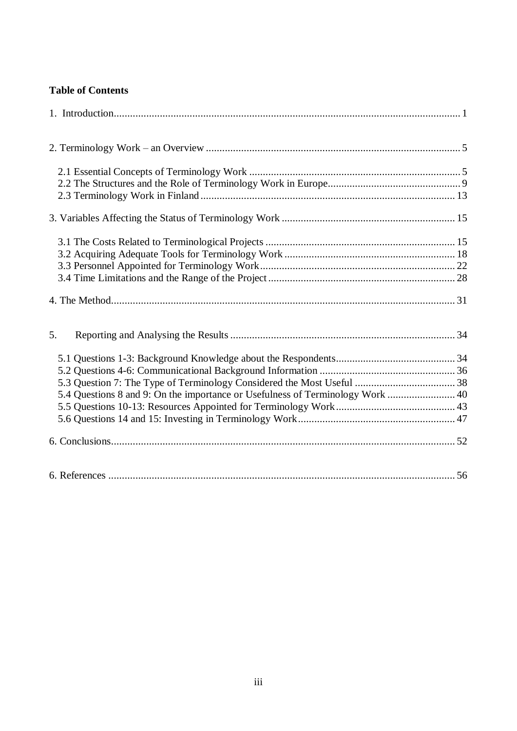# **Table of Contents**

| 5.                                                                             |  |
|--------------------------------------------------------------------------------|--|
|                                                                                |  |
| 5.4 Questions 8 and 9: On the importance or Usefulness of Terminology Work  40 |  |
|                                                                                |  |
|                                                                                |  |
|                                                                                |  |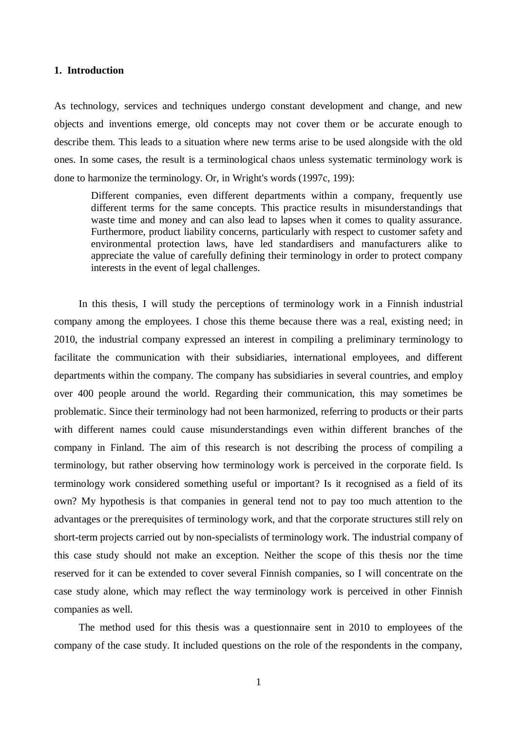#### <span id="page-3-0"></span>**1. Introduction**

As technology, services and techniques undergo constant development and change, and new objects and inventions emerge, old concepts may not cover them or be accurate enough to describe them. This leads to a situation where new terms arise to be used alongside with the old ones. In some cases, the result is a terminological chaos unless systematic terminology work is done to harmonize the terminology. Or, in Wright's words (1997c, 199):

Different companies, even different departments within a company, frequently use different terms for the same concepts. This practice results in misunderstandings that waste time and money and can also lead to lapses when it comes to quality assurance. Furthermore, product liability concerns, particularly with respect to customer safety and environmental protection laws, have led standardisers and manufacturers alike to appreciate the value of carefully defining their terminology in order to protect company interests in the event of legal challenges.

In this thesis, I will study the perceptions of terminology work in a Finnish industrial company among the employees. I chose this theme because there was a real, existing need; in 2010, the industrial company expressed an interest in compiling a preliminary terminology to facilitate the communication with their subsidiaries, international employees, and different departments within the company. The company has subsidiaries in several countries, and employ over 400 people around the world. Regarding their communication, this may sometimes be problematic. Since their terminology had not been harmonized, referring to products or their parts with different names could cause misunderstandings even within different branches of the company in Finland. The aim of this research is not describing the process of compiling a terminology, but rather observing how terminology work is perceived in the corporate field. Is terminology work considered something useful or important? Is it recognised as a field of its own? My hypothesis is that companies in general tend not to pay too much attention to the advantages or the prerequisites of terminology work, and that the corporate structures still rely on short-term projects carried out by non-specialists of terminology work. The industrial company of this case study should not make an exception. Neither the scope of this thesis nor the time reserved for it can be extended to cover several Finnish companies, so I will concentrate on the case study alone, which may reflect the way terminology work is perceived in other Finnish companies as well.

The method used for this thesis was a questionnaire sent in 2010 to employees of the company of the case study. It included questions on the role of the respondents in the company,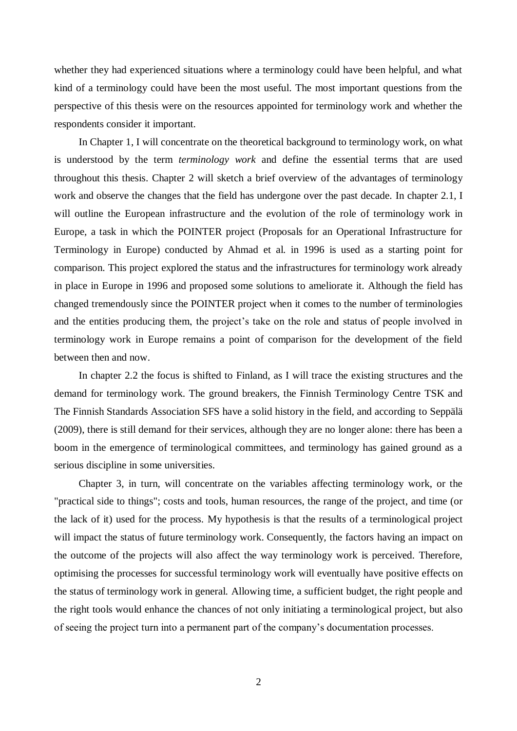whether they had experienced situations where a terminology could have been helpful, and what kind of a terminology could have been the most useful. The most important questions from the perspective of this thesis were on the resources appointed for terminology work and whether the respondents consider it important.

In Chapter 1, I will concentrate on the theoretical background to terminology work, on what is understood by the term *terminology work* and define the essential terms that are used throughout this thesis. Chapter 2 will sketch a brief overview of the advantages of terminology work and observe the changes that the field has undergone over the past decade. In chapter 2.1, I will outline the European infrastructure and the evolution of the role of terminology work in Europe, a task in which the POINTER project (Proposals for an Operational Infrastructure for Terminology in Europe) conducted by Ahmad et al. in 1996 is used as a starting point for comparison. This project explored the status and the infrastructures for terminology work already in place in Europe in 1996 and proposed some solutions to ameliorate it. Although the field has changed tremendously since the POINTER project when it comes to the number of terminologies and the entities producing them, the project's take on the role and status of people involved in terminology work in Europe remains a point of comparison for the development of the field between then and now.

In chapter 2.2 the focus is shifted to Finland, as I will trace the existing structures and the demand for terminology work. The ground breakers, the Finnish Terminology Centre TSK and The Finnish Standards Association SFS have a solid history in the field, and according to Seppälä (2009), there is still demand for their services, although they are no longer alone: there has been a boom in the emergence of terminological committees, and terminology has gained ground as a serious discipline in some universities.

Chapter 3, in turn, will concentrate on the variables affecting terminology work, or the "practical side to things"; costs and tools, human resources, the range of the project, and time (or the lack of it) used for the process. My hypothesis is that the results of a terminological project will impact the status of future terminology work. Consequently, the factors having an impact on the outcome of the projects will also affect the way terminology work is perceived. Therefore, optimising the processes for successful terminology work will eventually have positive effects on the status of terminology work in general. Allowing time, a sufficient budget, the right people and the right tools would enhance the chances of not only initiating a terminological project, but also of seeing the project turn into a permanent part of the company's documentation processes.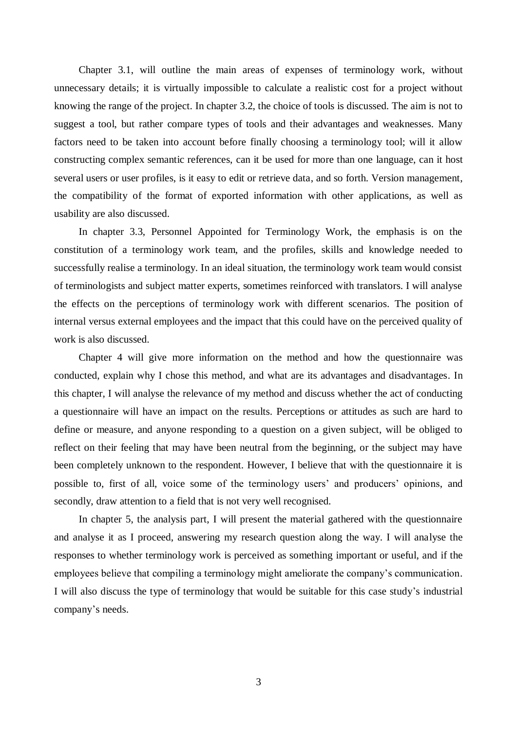Chapter 3.1, will outline the main areas of expenses of terminology work, without unnecessary details; it is virtually impossible to calculate a realistic cost for a project without knowing the range of the project. In chapter 3.2, the choice of tools is discussed. The aim is not to suggest a tool, but rather compare types of tools and their advantages and weaknesses. Many factors need to be taken into account before finally choosing a terminology tool; will it allow constructing complex semantic references, can it be used for more than one language, can it host several users or user profiles, is it easy to edit or retrieve data, and so forth. Version management, the compatibility of the format of exported information with other applications, as well as usability are also discussed.

In chapter 3.3, Personnel Appointed for Terminology Work, the emphasis is on the constitution of a terminology work team, and the profiles, skills and knowledge needed to successfully realise a terminology. In an ideal situation, the terminology work team would consist of terminologists and subject matter experts, sometimes reinforced with translators. I will analyse the effects on the perceptions of terminology work with different scenarios. The position of internal versus external employees and the impact that this could have on the perceived quality of work is also discussed.

Chapter 4 will give more information on the method and how the questionnaire was conducted, explain why I chose this method, and what are its advantages and disadvantages. In this chapter, I will analyse the relevance of my method and discuss whether the act of conducting a questionnaire will have an impact on the results. Perceptions or attitudes as such are hard to define or measure, and anyone responding to a question on a given subject, will be obliged to reflect on their feeling that may have been neutral from the beginning, or the subject may have been completely unknown to the respondent. However, I believe that with the questionnaire it is possible to, first of all, voice some of the terminology users' and producers' opinions, and secondly, draw attention to a field that is not very well recognised.

In chapter 5, the analysis part, I will present the material gathered with the questionnaire and analyse it as I proceed, answering my research question along the way. I will analyse the responses to whether terminology work is perceived as something important or useful, and if the employees believe that compiling a terminology might ameliorate the company's communication. I will also discuss the type of terminology that would be suitable for this case study's industrial company's needs.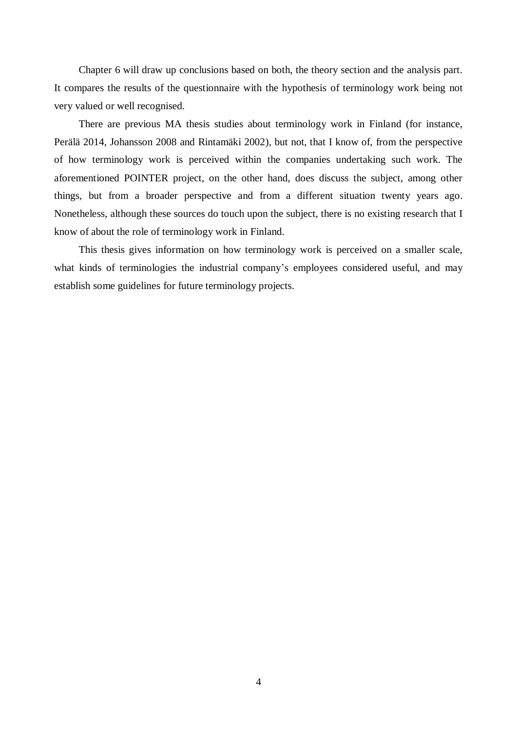Chapter 6 will draw up conclusions based on both, the theory section and the analysis part. It compares the results of the questionnaire with the hypothesis of terminology work being not very valued or well recognised.

There are previous MA thesis studies about terminology work in Finland (for instance, Perälä 2014, Johansson 2008 and Rintamäki 2002), but not, that I know of, from the perspective of how terminology work is perceived within the companies undertaking such work. The aforementioned POINTER project, on the other hand, does discuss the subject, among other things, but from a broader perspective and from a different situation twenty years ago. Nonetheless, although these sources do touch upon the subject, there is no existing research that I know of about the role of terminology work in Finland.

This thesis gives information on how terminology work is perceived on a smaller scale, what kinds of terminologies the industrial company's employees considered useful, and may establish some guidelines for future terminology projects.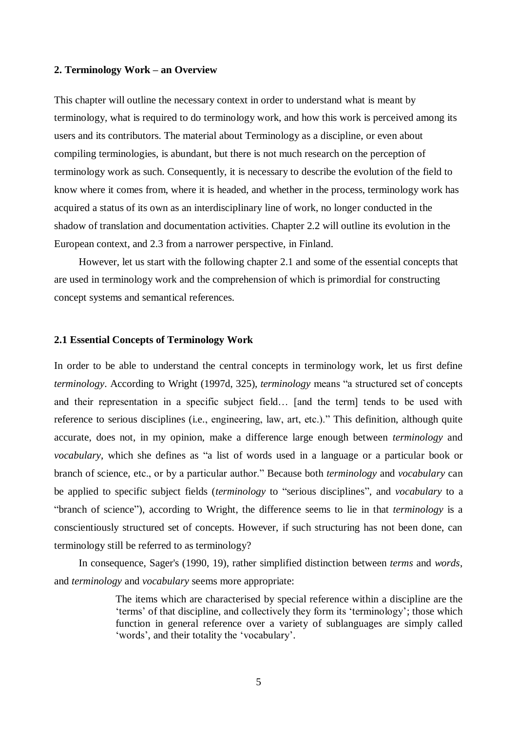#### <span id="page-7-0"></span>**2. Terminology Work – an Overview**

This chapter will outline the necessary context in order to understand what is meant by terminology, what is required to do terminology work, and how this work is perceived among its users and its contributors. The material about Terminology as a discipline, or even about compiling terminologies, is abundant, but there is not much research on the perception of terminology work as such. Consequently, it is necessary to describe the evolution of the field to know where it comes from, where it is headed, and whether in the process, terminology work has acquired a status of its own as an interdisciplinary line of work, no longer conducted in the shadow of translation and documentation activities. Chapter 2.2 will outline its evolution in the European context, and 2.3 from a narrower perspective, in Finland.

However, let us start with the following chapter 2.1 and some of the essential concepts that are used in terminology work and the comprehension of which is primordial for constructing concept systems and semantical references.

#### <span id="page-7-1"></span>**2.1 Essential Concepts of Terminology Work**

In order to be able to understand the central concepts in terminology work, let us first define *terminology*. According to Wright (1997d, 325), *terminology* means "a structured set of concepts and their representation in a specific subject field… [and the term] tends to be used with reference to serious disciplines (i.e., engineering, law, art, etc.)." This definition, although quite accurate, does not, in my opinion, make a difference large enough between *terminology* and *vocabulary*, which she defines as "a list of words used in a language or a particular book or branch of science, etc., or by a particular author." Because both *terminology* and *vocabulary* can be applied to specific subject fields (*terminology* to "serious disciplines", and *vocabulary* to a "branch of science"), according to Wright, the difference seems to lie in that *terminology* is a conscientiously structured set of concepts. However, if such structuring has not been done, can terminology still be referred to as terminology?

In consequence, Sager's (1990, 19), rather simplified distinction between *terms* and *words*, and *terminology* and *vocabulary* seems more appropriate:

> The items which are characterised by special reference within a discipline are the 'terms' of that discipline, and collectively they form its 'terminology'; those which function in general reference over a variety of sublanguages are simply called 'words', and their totality the 'vocabulary'.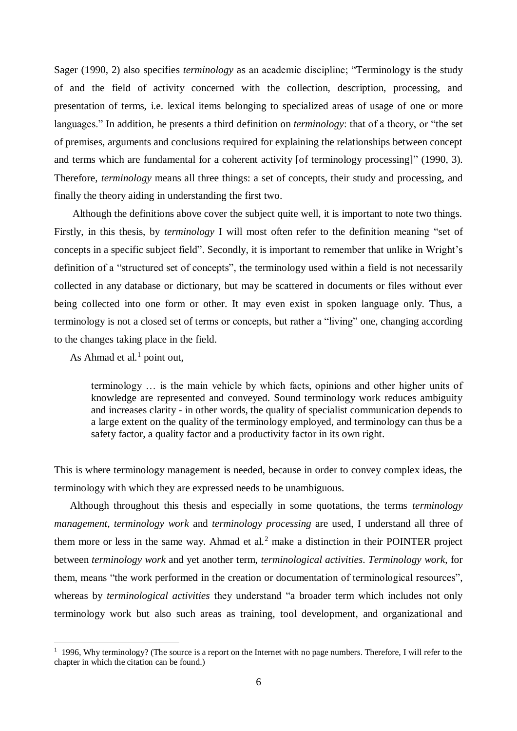Sager (1990, 2) also specifies *terminology* as an academic discipline; "Terminology is the study of and the field of activity concerned with the collection, description, processing, and presentation of terms, i.e. lexical items belonging to specialized areas of usage of one or more languages." In addition, he presents a third definition on *terminology*: that of a theory, or "the set of premises, arguments and conclusions required for explaining the relationships between concept and terms which are fundamental for a coherent activity [of terminology processing]" (1990, 3). Therefore, *terminology* means all three things: a set of concepts, their study and processing, and finally the theory aiding in understanding the first two.

 Although the definitions above cover the subject quite well, it is important to note two things. Firstly, in this thesis, by *terminology* I will most often refer to the definition meaning "set of concepts in a specific subject field". Secondly, it is important to remember that unlike in Wright's definition of a "structured set of concepts", the terminology used within a field is not necessarily collected in any database or dictionary, but may be scattered in documents or files without ever being collected into one form or other. It may even exist in spoken language only. Thus, a terminology is not a closed set of terms or concepts, but rather a "living" one, changing according to the changes taking place in the field.

As Ahmad et al. $<sup>1</sup>$  point out,</sup>

 $\overline{a}$ 

terminology … is the main vehicle by which facts, opinions and other higher units of knowledge are represented and conveyed. Sound terminology work reduces ambiguity and increases clarity - in other words, the quality of specialist communication depends to a large extent on the quality of the terminology employed, and terminology can thus be a safety factor, a quality factor and a productivity factor in its own right.

This is where terminology management is needed, because in order to convey complex ideas, the terminology with which they are expressed needs to be unambiguous.

 Although throughout this thesis and especially in some quotations, the terms *terminology management, terminology work* and *terminology processing* are used, I understand all three of them more or less in the same way. Ahmad et al.<sup>2</sup> make a distinction in their POINTER project between *terminology work* and yet another term, *terminological activities*. *Terminology work*, for them, means "the work performed in the creation or documentation of terminological resources", whereas by *terminological activities* they understand "a broader term which includes not only terminology work but also such areas as training, tool development, and organizational and

 $1$  1996, Why terminology? (The source is a report on the Internet with no page numbers. Therefore, I will refer to the chapter in which the citation can be found.)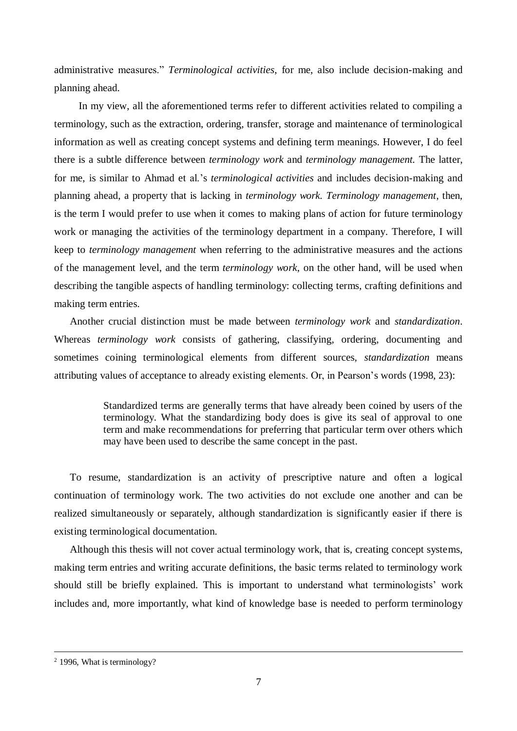administrative measures." *Terminological activities*, for me, also include decision-making and planning ahead.

In my view, all the aforementioned terms refer to different activities related to compiling a terminology, such as the extraction, ordering, transfer, storage and maintenance of terminological information as well as creating concept systems and defining term meanings. However, I do feel there is a subtle difference between *terminology work* and *terminology management.* The latter, for me, is similar to Ahmad et al.'s *terminological activities* and includes decision-making and planning ahead, a property that is lacking in *terminology work. Terminology management*, then, is the term I would prefer to use when it comes to making plans of action for future terminology work or managing the activities of the terminology department in a company. Therefore, I will keep to *terminology management* when referring to the administrative measures and the actions of the management level, and the term *terminology work*, on the other hand, will be used when describing the tangible aspects of handling terminology: collecting terms, crafting definitions and making term entries.

Another crucial distinction must be made between *terminology work* and *standardization*. Whereas *terminology work* consists of gathering, classifying, ordering, documenting and sometimes coining terminological elements from different sources, *standardization* means attributing values of acceptance to already existing elements. Or, in Pearson's words (1998, 23):

> Standardized terms are generally terms that have already been coined by users of the terminology. What the standardizing body does is give its seal of approval to one term and make recommendations for preferring that particular term over others which may have been used to describe the same concept in the past.

To resume, standardization is an activity of prescriptive nature and often a logical continuation of terminology work. The two activities do not exclude one another and can be realized simultaneously or separately, although standardization is significantly easier if there is existing terminological documentation.

Although this thesis will not cover actual terminology work, that is, creating concept systems, making term entries and writing accurate definitions, the basic terms related to terminology work should still be briefly explained. This is important to understand what terminologists' work includes and, more importantly, what kind of knowledge base is needed to perform terminology

<sup>&</sup>lt;sup>2</sup> 1996, What is terminology?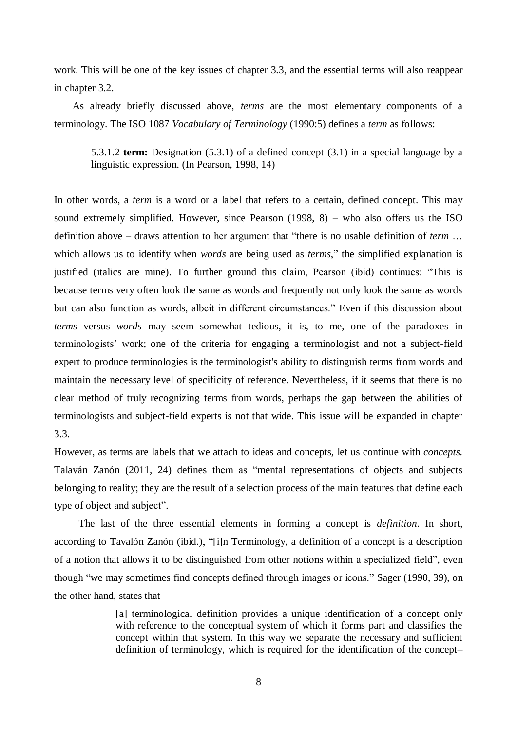work. This will be one of the key issues of chapter 3.3, and the essential terms will also reappear in chapter 3.2.

 As already briefly discussed above, *terms* are the most elementary components of a terminology. The ISO 1087 *Vocabulary of Terminology* (1990:5) defines a *term* as follows:

5.3.1.2 **term:** Designation (5.3.1) of a defined concept (3.1) in a special language by a linguistic expression. (In Pearson, 1998, 14)

In other words, a *term* is a word or a label that refers to a certain, defined concept. This may sound extremely simplified. However, since Pearson (1998, 8) – who also offers us the ISO definition above – draws attention to her argument that "there is no usable definition of *term* … which allows us to identify when *words* are being used as *terms*," the simplified explanation is justified (italics are mine). To further ground this claim, Pearson (ibid) continues: "This is because terms very often look the same as words and frequently not only look the same as words but can also function as words, albeit in different circumstances." Even if this discussion about *terms* versus *words* may seem somewhat tedious, it is, to me, one of the paradoxes in terminologists' work; one of the criteria for engaging a terminologist and not a subject-field expert to produce terminologies is the terminologist's ability to distinguish terms from words and maintain the necessary level of specificity of reference. Nevertheless, if it seems that there is no clear method of truly recognizing terms from words, perhaps the gap between the abilities of terminologists and subject-field experts is not that wide. This issue will be expanded in chapter 3.3.

However, as terms are labels that we attach to ideas and concepts, let us continue with *concepts.*  Talaván Zanón (2011, 24) defines them as "mental representations of objects and subjects belonging to reality; they are the result of a selection process of the main features that define each type of object and subject".

The last of the three essential elements in forming a concept is *definition*. In short, according to Tavalón Zanón (ibid.), "[i]n Terminology, a definition of a concept is a description of a notion that allows it to be distinguished from other notions within a specialized field", even though "we may sometimes find concepts defined through images or icons." Sager (1990, 39), on the other hand, states that

> [a] terminological definition provides a unique identification of a concept only with reference to the conceptual system of which it forms part and classifies the concept within that system. In this way we separate the necessary and sufficient definition of terminology, which is required for the identification of the concept–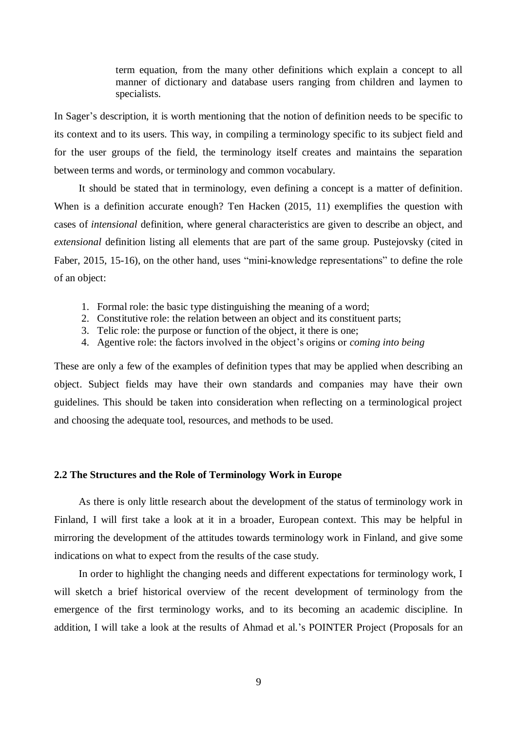term equation, from the many other definitions which explain a concept to all manner of dictionary and database users ranging from children and laymen to specialists.

In Sager's description, it is worth mentioning that the notion of definition needs to be specific to its context and to its users. This way, in compiling a terminology specific to its subject field and for the user groups of the field, the terminology itself creates and maintains the separation between terms and words, or terminology and common vocabulary.

It should be stated that in terminology, even defining a concept is a matter of definition. When is a definition accurate enough? Ten Hacken (2015, 11) exemplifies the question with cases of *intensional* definition, where general characteristics are given to describe an object, and *extensional* definition listing all elements that are part of the same group. Pustejovsky (cited in Faber, 2015, 15-16), on the other hand, uses "mini-knowledge representations" to define the role of an object:

- 1. Formal role: the basic type distinguishing the meaning of a word;
- 2. Constitutive role: the relation between an object and its constituent parts;
- 3. Telic role: the purpose or function of the object, it there is one;
- 4. Agentive role: the factors involved in the object's origins or *coming into being*

These are only a few of the examples of definition types that may be applied when describing an object. Subject fields may have their own standards and companies may have their own guidelines. This should be taken into consideration when reflecting on a terminological project and choosing the adequate tool, resources, and methods to be used.

#### <span id="page-11-0"></span>**2.2 The Structures and the Role of Terminology Work in Europe**

As there is only little research about the development of the status of terminology work in Finland, I will first take a look at it in a broader, European context. This may be helpful in mirroring the development of the attitudes towards terminology work in Finland, and give some indications on what to expect from the results of the case study.

In order to highlight the changing needs and different expectations for terminology work, I will sketch a brief historical overview of the recent development of terminology from the emergence of the first terminology works, and to its becoming an academic discipline. In addition, I will take a look at the results of Ahmad et al.'s POINTER Project (Proposals for an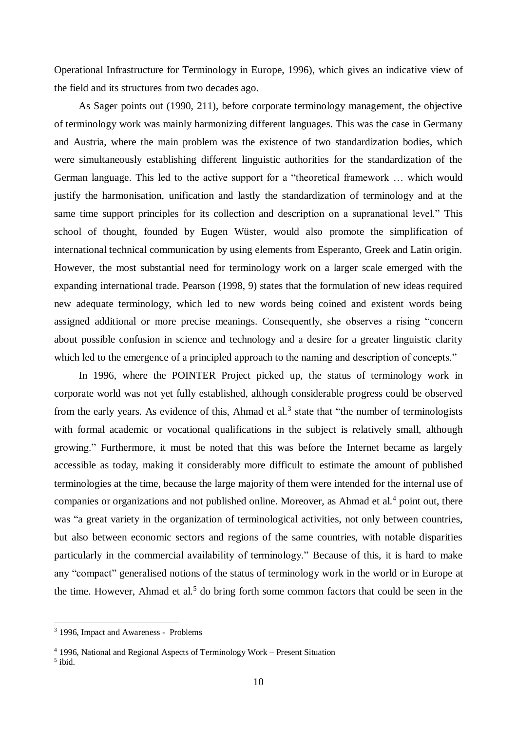Operational Infrastructure for Terminology in Europe, 1996), which gives an indicative view of the field and its structures from two decades ago.

As Sager points out (1990, 211), before corporate terminology management, the objective of terminology work was mainly harmonizing different languages. This was the case in Germany and Austria, where the main problem was the existence of two standardization bodies, which were simultaneously establishing different linguistic authorities for the standardization of the German language. This led to the active support for a "theoretical framework … which would justify the harmonisation, unification and lastly the standardization of terminology and at the same time support principles for its collection and description on a supranational level." This school of thought, founded by Eugen Wüster, would also promote the simplification of international technical communication by using elements from Esperanto, Greek and Latin origin. However, the most substantial need for terminology work on a larger scale emerged with the expanding international trade. Pearson (1998, 9) states that the formulation of new ideas required new adequate terminology, which led to new words being coined and existent words being assigned additional or more precise meanings. Consequently, she observes a rising "concern about possible confusion in science and technology and a desire for a greater linguistic clarity which led to the emergence of a principled approach to the naming and description of concepts."

In 1996, where the POINTER Project picked up, the status of terminology work in corporate world was not yet fully established, although considerable progress could be observed from the early years. As evidence of this, Ahmad et al.<sup>3</sup> state that "the number of terminologists with formal academic or vocational qualifications in the subject is relatively small, although growing." Furthermore, it must be noted that this was before the Internet became as largely accessible as today, making it considerably more difficult to estimate the amount of published terminologies at the time, because the large majority of them were intended for the internal use of companies or organizations and not published online. Moreover, as Ahmad et al.<sup>4</sup> point out, there was "a great variety in the organization of terminological activities, not only between countries, but also between economic sectors and regions of the same countries, with notable disparities particularly in the commercial availability of terminology." Because of this, it is hard to make any "compact" generalised notions of the status of terminology work in the world or in Europe at the time. However, Ahmad et al.<sup>5</sup> do bring forth some common factors that could be seen in the

<sup>3</sup> 1996, Impact and Awareness - Problems

<sup>4</sup> 1996, National and Regional Aspects of Terminology Work – Present Situation

<sup>5</sup> ibid.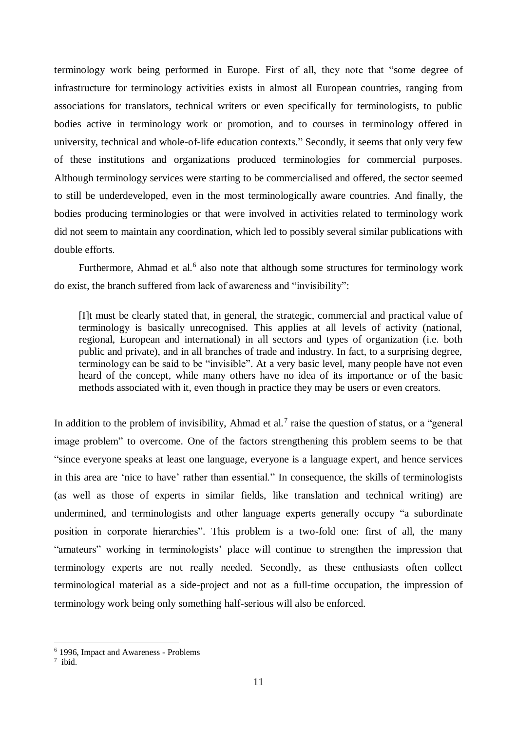terminology work being performed in Europe. First of all, they note that "some degree of infrastructure for terminology activities exists in almost all European countries, ranging from associations for translators, technical writers or even specifically for terminologists, to public bodies active in terminology work or promotion, and to courses in terminology offered in university, technical and whole-of-life education contexts." Secondly, it seems that only very few of these institutions and organizations produced terminologies for commercial purposes. Although terminology services were starting to be commercialised and offered, the sector seemed to still be underdeveloped, even in the most terminologically aware countries. And finally, the bodies producing terminologies or that were involved in activities related to terminology work did not seem to maintain any coordination, which led to possibly several similar publications with double efforts.

Furthermore, Ahmad et al.<sup>6</sup> also note that although some structures for terminology work do exist, the branch suffered from lack of awareness and "invisibility":

[I]t must be clearly stated that, in general, the strategic, commercial and practical value of terminology is basically unrecognised. This applies at all levels of activity (national, regional, European and international) in all sectors and types of organization (i.e. both public and private), and in all branches of trade and industry. In fact, to a surprising degree, terminology can be said to be "invisible". At a very basic level, many people have not even heard of the concept, while many others have no idea of its importance or of the basic methods associated with it, even though in practice they may be users or even creators.

In addition to the problem of invisibility, Ahmad et al.<sup>7</sup> raise the question of status, or a "general" image problem" to overcome. One of the factors strengthening this problem seems to be that "since everyone speaks at least one language, everyone is a language expert, and hence services in this area are 'nice to have' rather than essential." In consequence, the skills of terminologists (as well as those of experts in similar fields, like translation and technical writing) are undermined, and terminologists and other language experts generally occupy "a subordinate position in corporate hierarchies". This problem is a two-fold one: first of all, the many "amateurs" working in terminologists' place will continue to strengthen the impression that terminology experts are not really needed. Secondly, as these enthusiasts often collect terminological material as a side-project and not as a full-time occupation, the impression of terminology work being only something half-serious will also be enforced.

<sup>6</sup> 1996, Impact and Awareness - Problems

 $7$  ibid.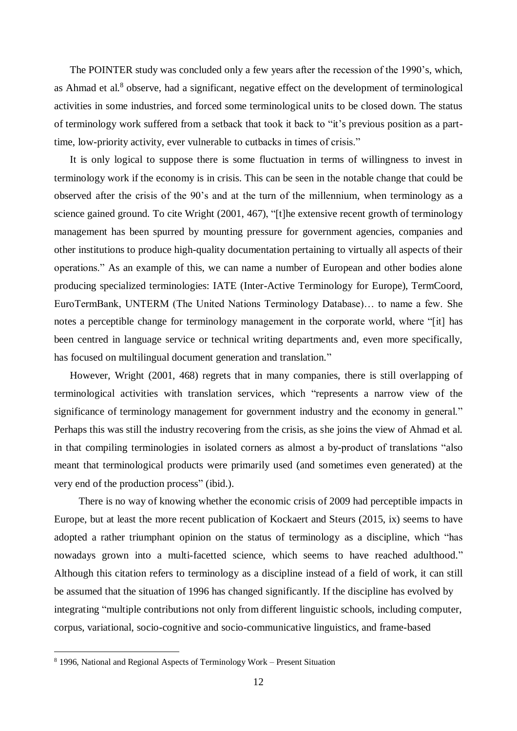The POINTER study was concluded only a few years after the recession of the 1990's, which, as Ahmad et al.<sup>8</sup> observe, had a significant, negative effect on the development of terminological activities in some industries, and forced some terminological units to be closed down. The status of terminology work suffered from a setback that took it back to "it's previous position as a parttime, low-priority activity, ever vulnerable to cutbacks in times of crisis."

It is only logical to suppose there is some fluctuation in terms of willingness to invest in terminology work if the economy is in crisis. This can be seen in the notable change that could be observed after the crisis of the 90's and at the turn of the millennium, when terminology as a science gained ground. To cite Wright (2001, 467), "[t]he extensive recent growth of terminology management has been spurred by mounting pressure for government agencies, companies and other institutions to produce high-quality documentation pertaining to virtually all aspects of their operations." As an example of this, we can name a number of European and other bodies alone producing specialized terminologies: IATE (Inter-Active Terminology for Europe), TermCoord, EuroTermBank, UNTERM (The United Nations Terminology Database)… to name a few. She notes a perceptible change for terminology management in the corporate world, where "[it] has been centred in language service or technical writing departments and, even more specifically, has focused on multilingual document generation and translation."

However, Wright (2001, 468) regrets that in many companies, there is still overlapping of terminological activities with translation services, which "represents a narrow view of the significance of terminology management for government industry and the economy in general." Perhaps this was still the industry recovering from the crisis, as she joins the view of Ahmad et al. in that compiling terminologies in isolated corners as almost a by-product of translations "also meant that terminological products were primarily used (and sometimes even generated) at the very end of the production process" (ibid.).

There is no way of knowing whether the economic crisis of 2009 had perceptible impacts in Europe, but at least the more recent publication of Kockaert and Steurs (2015, ix) seems to have adopted a rather triumphant opinion on the status of terminology as a discipline, which "has nowadays grown into a multi-facetted science, which seems to have reached adulthood." Although this citation refers to terminology as a discipline instead of a field of work, it can still be assumed that the situation of 1996 has changed significantly. If the discipline has evolved by integrating "multiple contributions not only from different linguistic schools, including computer, corpus, variational, socio-cognitive and socio-communicative linguistics, and frame-based

<sup>8</sup> 1996, National and Regional Aspects of Terminology Work – Present Situation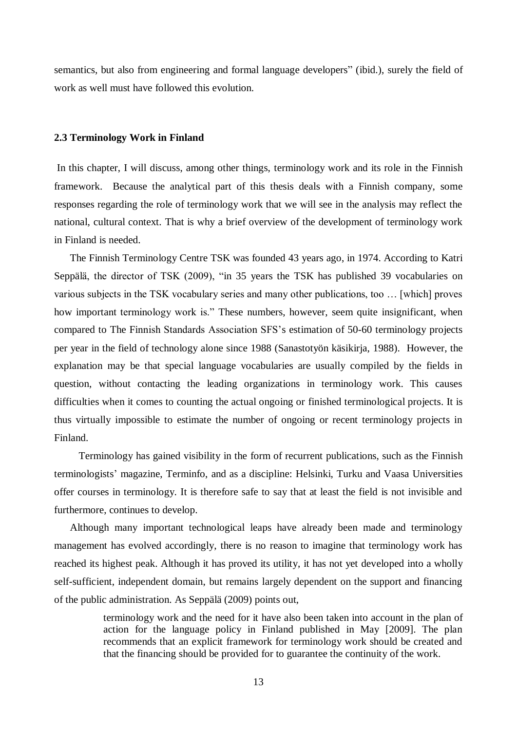semantics, but also from engineering and formal language developers" (ibid.), surely the field of work as well must have followed this evolution.

#### <span id="page-15-0"></span>**2.3 Terminology Work in Finland**

In this chapter, I will discuss, among other things, terminology work and its role in the Finnish framework. Because the analytical part of this thesis deals with a Finnish company, some responses regarding the role of terminology work that we will see in the analysis may reflect the national, cultural context. That is why a brief overview of the development of terminology work in Finland is needed.

 The Finnish Terminology Centre TSK was founded 43 years ago, in 1974. According to Katri Seppälä, the director of TSK (2009), "in 35 years the TSK has published 39 vocabularies on various subjects in the TSK vocabulary series and many other publications, too … [which] proves how important terminology work is." These numbers, however, seem quite insignificant, when compared to The Finnish Standards Association SFS's estimation of 50-60 terminology projects per year in the field of technology alone since 1988 (Sanastotyön käsikirja, 1988). However, the explanation may be that special language vocabularies are usually compiled by the fields in question, without contacting the leading organizations in terminology work. This causes difficulties when it comes to counting the actual ongoing or finished terminological projects. It is thus virtually impossible to estimate the number of ongoing or recent terminology projects in Finland.

Terminology has gained visibility in the form of recurrent publications, such as the Finnish terminologists' magazine, Terminfo, and as a discipline: Helsinki, Turku and Vaasa Universities offer courses in terminology. It is therefore safe to say that at least the field is not invisible and furthermore, continues to develop.

 Although many important technological leaps have already been made and terminology management has evolved accordingly, there is no reason to imagine that terminology work has reached its highest peak. Although it has proved its utility, it has not yet developed into a wholly self-sufficient, independent domain, but remains largely dependent on the support and financing of the public administration. As Seppälä (2009) points out,

> terminology work and the need for it have also been taken into account in the plan of action for the language policy in Finland published in May [2009]. The plan recommends that an explicit framework for terminology work should be created and that the financing should be provided for to guarantee the continuity of the work.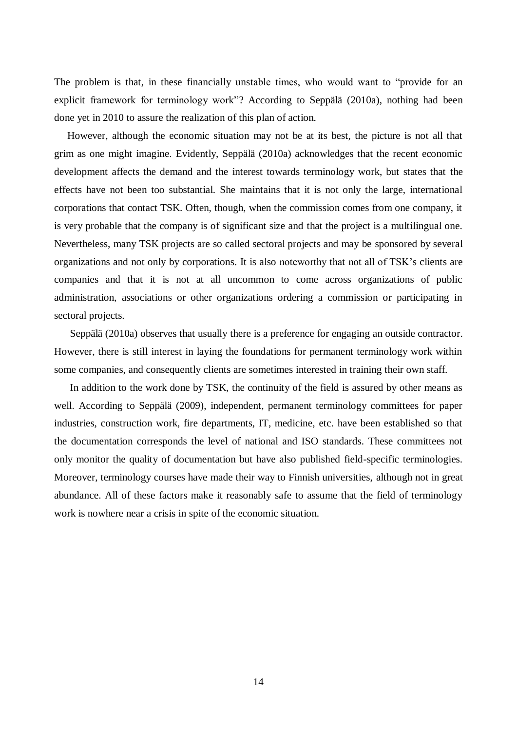The problem is that, in these financially unstable times, who would want to "provide for an explicit framework for terminology work"? According to Seppälä (2010a), nothing had been done yet in 2010 to assure the realization of this plan of action.

 However, although the economic situation may not be at its best, the picture is not all that grim as one might imagine. Evidently, Seppälä (2010a) acknowledges that the recent economic development affects the demand and the interest towards terminology work, but states that the effects have not been too substantial. She maintains that it is not only the large, international corporations that contact TSK. Often, though, when the commission comes from one company, it is very probable that the company is of significant size and that the project is a multilingual one. Nevertheless, many TSK projects are so called sectoral projects and may be sponsored by several organizations and not only by corporations. It is also noteworthy that not all of TSK's clients are companies and that it is not at all uncommon to come across organizations of public administration, associations or other organizations ordering a commission or participating in sectoral projects.

 Seppälä (2010a) observes that usually there is a preference for engaging an outside contractor. However, there is still interest in laying the foundations for permanent terminology work within some companies, and consequently clients are sometimes interested in training their own staff.

 In addition to the work done by TSK, the continuity of the field is assured by other means as well. According to Seppälä (2009), independent, permanent terminology committees for paper industries, construction work, fire departments, IT, medicine, etc. have been established so that the documentation corresponds the level of national and ISO standards. These committees not only monitor the quality of documentation but have also published field-specific terminologies. Moreover, terminology courses have made their way to Finnish universities, although not in great abundance. All of these factors make it reasonably safe to assume that the field of terminology work is nowhere near a crisis in spite of the economic situation.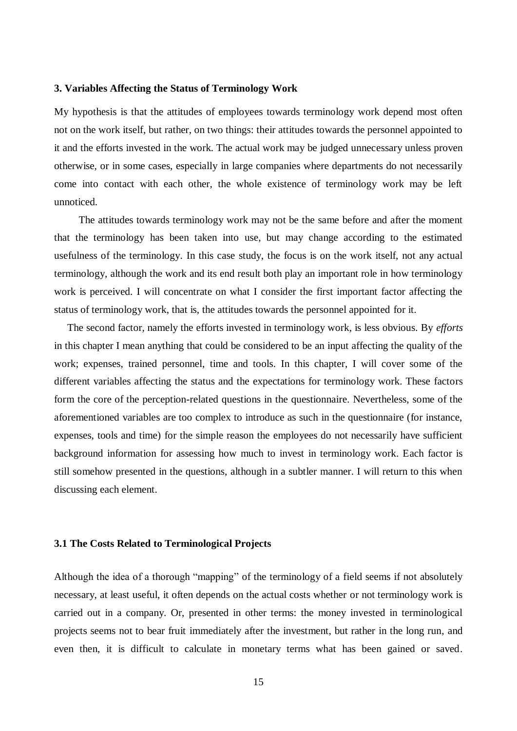#### <span id="page-17-0"></span>**3. Variables Affecting the Status of Terminology Work**

My hypothesis is that the attitudes of employees towards terminology work depend most often not on the work itself, but rather, on two things: their attitudes towards the personnel appointed to it and the efforts invested in the work. The actual work may be judged unnecessary unless proven otherwise, or in some cases, especially in large companies where departments do not necessarily come into contact with each other, the whole existence of terminology work may be left unnoticed.

The attitudes towards terminology work may not be the same before and after the moment that the terminology has been taken into use, but may change according to the estimated usefulness of the terminology. In this case study, the focus is on the work itself, not any actual terminology, although the work and its end result both play an important role in how terminology work is perceived. I will concentrate on what I consider the first important factor affecting the status of terminology work, that is, the attitudes towards the personnel appointed for it.

 The second factor, namely the efforts invested in terminology work, is less obvious. By *efforts* in this chapter I mean anything that could be considered to be an input affecting the quality of the work; expenses, trained personnel, time and tools. In this chapter, I will cover some of the different variables affecting the status and the expectations for terminology work. These factors form the core of the perception-related questions in the questionnaire. Nevertheless, some of the aforementioned variables are too complex to introduce as such in the questionnaire (for instance, expenses, tools and time) for the simple reason the employees do not necessarily have sufficient background information for assessing how much to invest in terminology work. Each factor is still somehow presented in the questions, although in a subtler manner. I will return to this when discussing each element.

#### <span id="page-17-1"></span>**3.1 The Costs Related to Terminological Projects**

Although the idea of a thorough "mapping" of the terminology of a field seems if not absolutely necessary, at least useful, it often depends on the actual costs whether or not terminology work is carried out in a company. Or, presented in other terms: the money invested in terminological projects seems not to bear fruit immediately after the investment, but rather in the long run, and even then, it is difficult to calculate in monetary terms what has been gained or saved.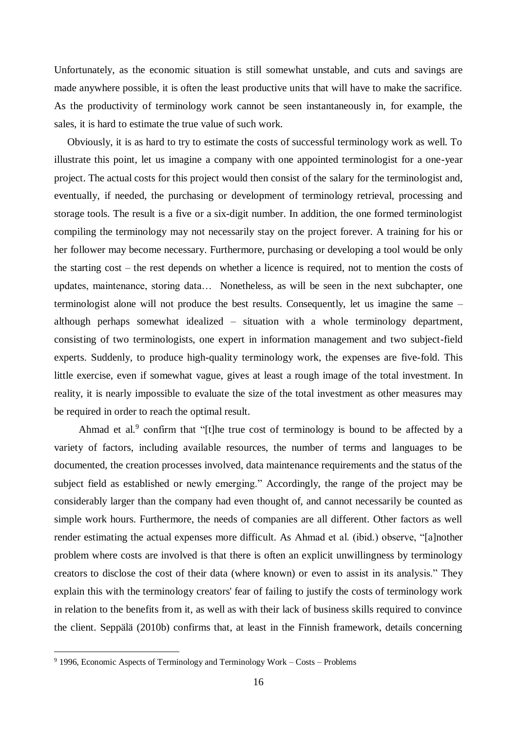Unfortunately, as the economic situation is still somewhat unstable, and cuts and savings are made anywhere possible, it is often the least productive units that will have to make the sacrifice. As the productivity of terminology work cannot be seen instantaneously in, for example, the sales, it is hard to estimate the true value of such work.

 Obviously, it is as hard to try to estimate the costs of successful terminology work as well. To illustrate this point, let us imagine a company with one appointed terminologist for a one-year project. The actual costs for this project would then consist of the salary for the terminologist and, eventually, if needed, the purchasing or development of terminology retrieval, processing and storage tools. The result is a five or a six-digit number. In addition, the one formed terminologist compiling the terminology may not necessarily stay on the project forever. A training for his or her follower may become necessary. Furthermore, purchasing or developing a tool would be only the starting cost – the rest depends on whether a licence is required, not to mention the costs of updates, maintenance, storing data… Nonetheless, as will be seen in the next subchapter, one terminologist alone will not produce the best results. Consequently, let us imagine the same – although perhaps somewhat idealized – situation with a whole terminology department, consisting of two terminologists, one expert in information management and two subject-field experts. Suddenly, to produce high-quality terminology work, the expenses are five-fold. This little exercise, even if somewhat vague, gives at least a rough image of the total investment. In reality, it is nearly impossible to evaluate the size of the total investment as other measures may be required in order to reach the optimal result.

Ahmad et al.<sup>9</sup> confirm that "[t]he true cost of terminology is bound to be affected by a variety of factors, including available resources, the number of terms and languages to be documented, the creation processes involved, data maintenance requirements and the status of the subject field as established or newly emerging." Accordingly, the range of the project may be considerably larger than the company had even thought of, and cannot necessarily be counted as simple work hours. Furthermore, the needs of companies are all different. Other factors as well render estimating the actual expenses more difficult. As Ahmad et al. (ibid.) observe, "[a]nother problem where costs are involved is that there is often an explicit unwillingness by terminology creators to disclose the cost of their data (where known) or even to assist in its analysis." They explain this with the terminology creators' fear of failing to justify the costs of terminology work in relation to the benefits from it, as well as with their lack of business skills required to convince the client. Seppälä (2010b) confirms that, at least in the Finnish framework, details concerning

 $9$  1996, Economic Aspects of Terminology and Terminology Work – Costs – Problems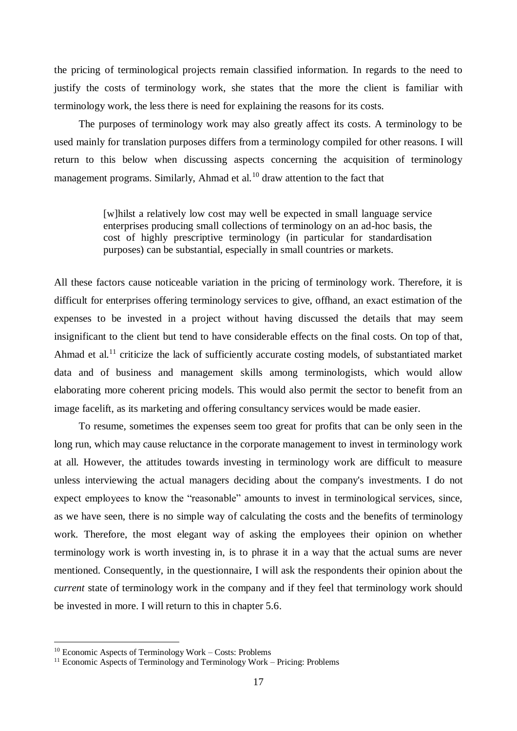the pricing of terminological projects remain classified information. In regards to the need to justify the costs of terminology work, she states that the more the client is familiar with terminology work, the less there is need for explaining the reasons for its costs.

The purposes of terminology work may also greatly affect its costs. A terminology to be used mainly for translation purposes differs from a terminology compiled for other reasons. I will return to this below when discussing aspects concerning the acquisition of terminology management programs. Similarly, Ahmad et al.<sup>10</sup> draw attention to the fact that

> [w]hilst a relatively low cost may well be expected in small language service enterprises producing small collections of terminology on an ad-hoc basis, the cost of highly prescriptive terminology (in particular for standardisation purposes) can be substantial, especially in small countries or markets.

All these factors cause noticeable variation in the pricing of terminology work. Therefore, it is difficult for enterprises offering terminology services to give, offhand, an exact estimation of the expenses to be invested in a project without having discussed the details that may seem insignificant to the client but tend to have considerable effects on the final costs. On top of that, Ahmad et al.<sup>11</sup> criticize the lack of sufficiently accurate costing models, of substantiated market data and of business and management skills among terminologists, which would allow elaborating more coherent pricing models. This would also permit the sector to benefit from an image facelift, as its marketing and offering consultancy services would be made easier.

To resume, sometimes the expenses seem too great for profits that can be only seen in the long run, which may cause reluctance in the corporate management to invest in terminology work at all. However, the attitudes towards investing in terminology work are difficult to measure unless interviewing the actual managers deciding about the company's investments. I do not expect employees to know the "reasonable" amounts to invest in terminological services, since, as we have seen, there is no simple way of calculating the costs and the benefits of terminology work. Therefore, the most elegant way of asking the employees their opinion on whether terminology work is worth investing in, is to phrase it in a way that the actual sums are never mentioned. Consequently, in the questionnaire, I will ask the respondents their opinion about the *current* state of terminology work in the company and if they feel that terminology work should be invested in more. I will return to this in chapter 5.6.

<sup>&</sup>lt;sup>10</sup> Economic Aspects of Terminology Work – Costs: Problems

<sup>&</sup>lt;sup>11</sup> Economic Aspects of Terminology and Terminology Work – Pricing: Problems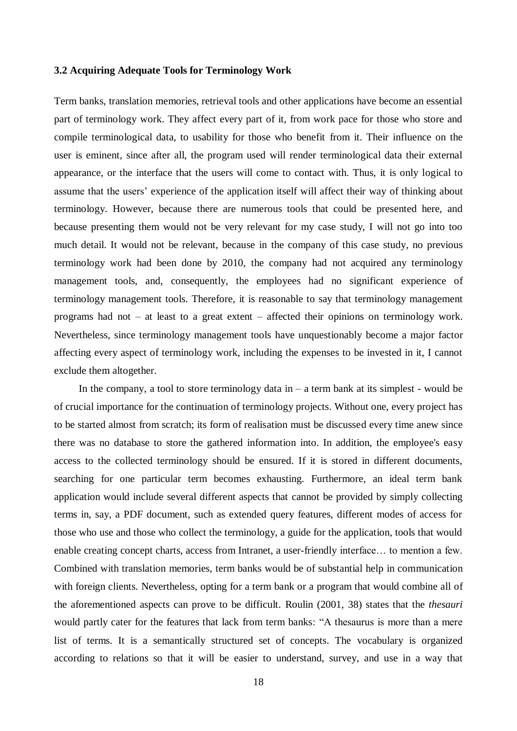#### <span id="page-20-0"></span>**3.2 Acquiring Adequate Tools for Terminology Work**

Term banks, translation memories, retrieval tools and other applications have become an essential part of terminology work. They affect every part of it, from work pace for those who store and compile terminological data, to usability for those who benefit from it. Their influence on the user is eminent, since after all, the program used will render terminological data their external appearance, or the interface that the users will come to contact with. Thus, it is only logical to assume that the users' experience of the application itself will affect their way of thinking about terminology. However, because there are numerous tools that could be presented here, and because presenting them would not be very relevant for my case study, I will not go into too much detail. It would not be relevant, because in the company of this case study, no previous terminology work had been done by 2010, the company had not acquired any terminology management tools, and, consequently, the employees had no significant experience of terminology management tools. Therefore, it is reasonable to say that terminology management programs had not – at least to a great extent – affected their opinions on terminology work. Nevertheless, since terminology management tools have unquestionably become a major factor affecting every aspect of terminology work, including the expenses to be invested in it, I cannot exclude them altogether.

In the company, a tool to store terminology data in  $-$  a term bank at its simplest - would be of crucial importance for the continuation of terminology projects. Without one, every project has to be started almost from scratch; its form of realisation must be discussed every time anew since there was no database to store the gathered information into. In addition, the employee's easy access to the collected terminology should be ensured. If it is stored in different documents, searching for one particular term becomes exhausting. Furthermore, an ideal term bank application would include several different aspects that cannot be provided by simply collecting terms in, say, a PDF document, such as extended query features, different modes of access for those who use and those who collect the terminology, a guide for the application, tools that would enable creating concept charts, access from Intranet, a user-friendly interface… to mention a few. Combined with translation memories, term banks would be of substantial help in communication with foreign clients. Nevertheless, opting for a term bank or a program that would combine all of the aforementioned aspects can prove to be difficult. Roulin (2001, 38) states that the *thesauri* would partly cater for the features that lack from term banks: "A thesaurus is more than a mere list of terms. It is a semantically structured set of concepts. The vocabulary is organized according to relations so that it will be easier to understand, survey, and use in a way that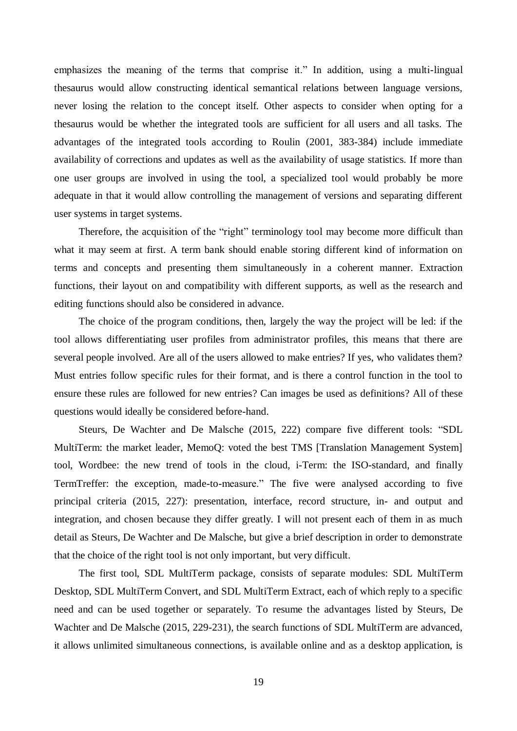emphasizes the meaning of the terms that comprise it." In addition, using a multi-lingual thesaurus would allow constructing identical semantical relations between language versions, never losing the relation to the concept itself. Other aspects to consider when opting for a thesaurus would be whether the integrated tools are sufficient for all users and all tasks. The advantages of the integrated tools according to Roulin (2001, 383-384) include immediate availability of corrections and updates as well as the availability of usage statistics. If more than one user groups are involved in using the tool, a specialized tool would probably be more adequate in that it would allow controlling the management of versions and separating different user systems in target systems.

Therefore, the acquisition of the "right" terminology tool may become more difficult than what it may seem at first. A term bank should enable storing different kind of information on terms and concepts and presenting them simultaneously in a coherent manner. Extraction functions, their layout on and compatibility with different supports, as well as the research and editing functions should also be considered in advance.

The choice of the program conditions, then, largely the way the project will be led: if the tool allows differentiating user profiles from administrator profiles, this means that there are several people involved. Are all of the users allowed to make entries? If yes, who validates them? Must entries follow specific rules for their format, and is there a control function in the tool to ensure these rules are followed for new entries? Can images be used as definitions? All of these questions would ideally be considered before-hand.

Steurs, De Wachter and De Malsche (2015, 222) compare five different tools: "SDL MultiTerm: the market leader, MemoQ: voted the best TMS [Translation Management System] tool, Wordbee: the new trend of tools in the cloud, i-Term: the ISO-standard, and finally TermTreffer: the exception, made-to-measure." The five were analysed according to five principal criteria (2015, 227): presentation, interface, record structure, in- and output and integration, and chosen because they differ greatly. I will not present each of them in as much detail as Steurs, De Wachter and De Malsche, but give a brief description in order to demonstrate that the choice of the right tool is not only important, but very difficult.

The first tool, SDL MultiTerm package, consists of separate modules: SDL MultiTerm Desktop, SDL MultiTerm Convert, and SDL MultiTerm Extract, each of which reply to a specific need and can be used together or separately. To resume the advantages listed by Steurs, De Wachter and De Malsche (2015, 229-231), the search functions of SDL MultiTerm are advanced, it allows unlimited simultaneous connections, is available online and as a desktop application, is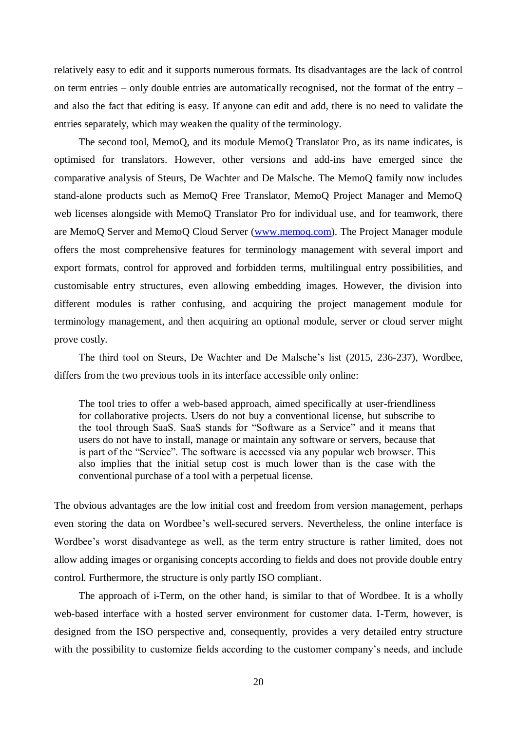relatively easy to edit and it supports numerous formats. Its disadvantages are the lack of control on term entries – only double entries are automatically recognised, not the format of the entry – and also the fact that editing is easy. If anyone can edit and add, there is no need to validate the entries separately, which may weaken the quality of the terminology.

The second tool, MemoQ, and its module MemoQ Translator Pro, as its name indicates, is optimised for translators. However, other versions and add-ins have emerged since the comparative analysis of Steurs, De Wachter and De Malsche. The MemoQ family now includes stand-alone products such as MemoQ Free Translator, MemoQ Project Manager and MemoQ web licenses alongside with MemoQ Translator Pro for individual use, and for teamwork, there are MemoQ Server and MemoQ Cloud Server [\(www.memoq.com\)](http://www.memoq.com/). The Project Manager module offers the most comprehensive features for terminology management with several import and export formats, control for approved and forbidden terms, multilingual entry possibilities, and customisable entry structures, even allowing embedding images. However, the division into different modules is rather confusing, and acquiring the project management module for terminology management, and then acquiring an optional module, server or cloud server might prove costly.

The third tool on Steurs, De Wachter and De Malsche's list (2015, 236-237), Wordbee, differs from the two previous tools in its interface accessible only online:

The tool tries to offer a web-based approach, aimed specifically at user-friendliness for collaborative projects. Users do not buy a conventional license, but subscribe to the tool through SaaS. SaaS stands for "Software as a Service" and it means that users do not have to install, manage or maintain any software or servers, because that is part of the "Service". The software is accessed via any popular web browser. This also implies that the initial setup cost is much lower than is the case with the conventional purchase of a tool with a perpetual license.

The obvious advantages are the low initial cost and freedom from version management, perhaps even storing the data on Wordbee's well-secured servers. Nevertheless, the online interface is Wordbee's worst disadvantege as well, as the term entry structure is rather limited, does not allow adding images or organising concepts according to fields and does not provide double entry control. Furthermore, the structure is only partly ISO compliant.

The approach of i-Term, on the other hand, is similar to that of Wordbee. It is a wholly web-based interface with a hosted server environment for customer data. I-Term, however, is designed from the ISO perspective and, consequently, provides a very detailed entry structure with the possibility to customize fields according to the customer company's needs, and include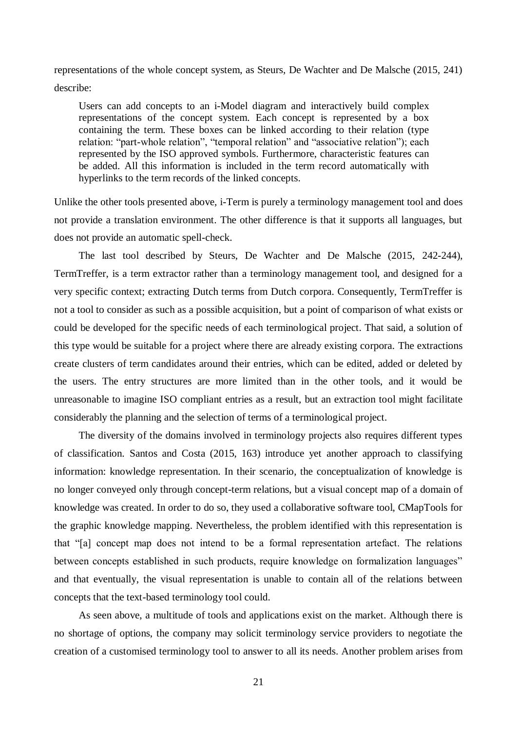representations of the whole concept system, as Steurs, De Wachter and De Malsche (2015, 241) describe:

Users can add concepts to an i-Model diagram and interactively build complex representations of the concept system. Each concept is represented by a box containing the term. These boxes can be linked according to their relation (type relation: "part-whole relation", "temporal relation" and "associative relation"); each represented by the ISO approved symbols. Furthermore, characteristic features can be added. All this information is included in the term record automatically with hyperlinks to the term records of the linked concepts.

Unlike the other tools presented above, i-Term is purely a terminology management tool and does not provide a translation environment. The other difference is that it supports all languages, but does not provide an automatic spell-check.

The last tool described by Steurs, De Wachter and De Malsche (2015, 242-244), TermTreffer, is a term extractor rather than a terminology management tool, and designed for a very specific context; extracting Dutch terms from Dutch corpora. Consequently, TermTreffer is not a tool to consider as such as a possible acquisition, but a point of comparison of what exists or could be developed for the specific needs of each terminological project. That said, a solution of this type would be suitable for a project where there are already existing corpora. The extractions create clusters of term candidates around their entries, which can be edited, added or deleted by the users. The entry structures are more limited than in the other tools, and it would be unreasonable to imagine ISO compliant entries as a result, but an extraction tool might facilitate considerably the planning and the selection of terms of a terminological project.

The diversity of the domains involved in terminology projects also requires different types of classification. Santos and Costa (2015, 163) introduce yet another approach to classifying information: knowledge representation. In their scenario, the conceptualization of knowledge is no longer conveyed only through concept-term relations, but a visual concept map of a domain of knowledge was created. In order to do so, they used a collaborative software tool, CMapTools for the graphic knowledge mapping. Nevertheless, the problem identified with this representation is that "[a] concept map does not intend to be a formal representation artefact. The relations between concepts established in such products, require knowledge on formalization languages" and that eventually, the visual representation is unable to contain all of the relations between concepts that the text-based terminology tool could.

As seen above, a multitude of tools and applications exist on the market. Although there is no shortage of options, the company may solicit terminology service providers to negotiate the creation of a customised terminology tool to answer to all its needs. Another problem arises from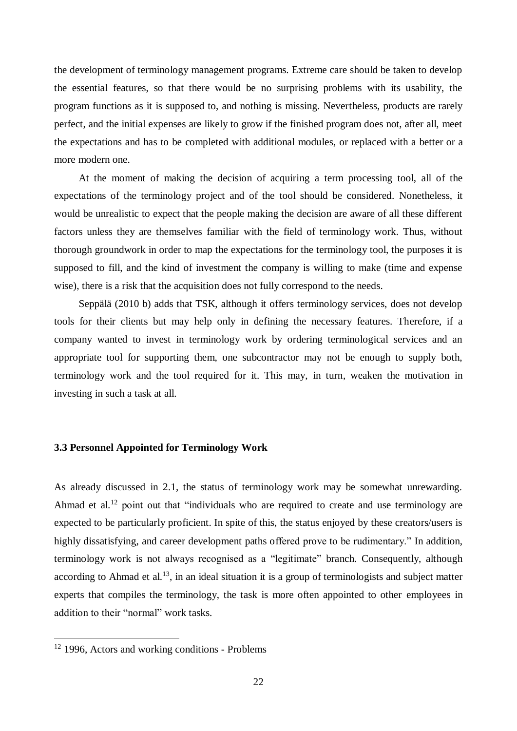the development of terminology management programs. Extreme care should be taken to develop the essential features, so that there would be no surprising problems with its usability, the program functions as it is supposed to, and nothing is missing. Nevertheless, products are rarely perfect, and the initial expenses are likely to grow if the finished program does not, after all, meet the expectations and has to be completed with additional modules, or replaced with a better or a more modern one.

At the moment of making the decision of acquiring a term processing tool, all of the expectations of the terminology project and of the tool should be considered. Nonetheless, it would be unrealistic to expect that the people making the decision are aware of all these different factors unless they are themselves familiar with the field of terminology work. Thus, without thorough groundwork in order to map the expectations for the terminology tool, the purposes it is supposed to fill, and the kind of investment the company is willing to make (time and expense wise), there is a risk that the acquisition does not fully correspond to the needs.

Seppälä (2010 b) adds that TSK, although it offers terminology services, does not develop tools for their clients but may help only in defining the necessary features. Therefore, if a company wanted to invest in terminology work by ordering terminological services and an appropriate tool for supporting them, one subcontractor may not be enough to supply both, terminology work and the tool required for it. This may, in turn, weaken the motivation in investing in such a task at all.

#### <span id="page-24-0"></span>**3.3 Personnel Appointed for Terminology Work**

As already discussed in 2.1, the status of terminology work may be somewhat unrewarding. Ahmad et al.<sup>12</sup> point out that "individuals who are required to create and use terminology are expected to be particularly proficient. In spite of this, the status enjoyed by these creators/users is highly dissatisfying, and career development paths offered prove to be rudimentary." In addition, terminology work is not always recognised as a "legitimate" branch. Consequently, although according to Ahmad et al.<sup>13</sup>, in an ideal situation it is a group of terminologists and subject matter experts that compiles the terminology, the task is more often appointed to other employees in addition to their "normal" work tasks.

<sup>&</sup>lt;sup>12</sup> 1996, Actors and working conditions - Problems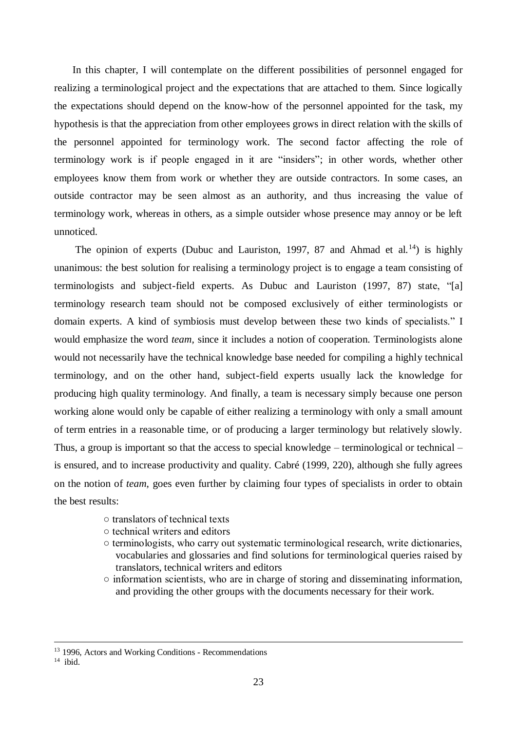In this chapter, I will contemplate on the different possibilities of personnel engaged for realizing a terminological project and the expectations that are attached to them. Since logically the expectations should depend on the know-how of the personnel appointed for the task, my hypothesis is that the appreciation from other employees grows in direct relation with the skills of the personnel appointed for terminology work. The second factor affecting the role of terminology work is if people engaged in it are "insiders"; in other words, whether other employees know them from work or whether they are outside contractors. In some cases, an outside contractor may be seen almost as an authority, and thus increasing the value of terminology work, whereas in others, as a simple outsider whose presence may annoy or be left unnoticed.

The opinion of experts (Dubuc and Lauriston, 1997, 87 and Ahmad et al.<sup>14</sup>) is highly unanimous: the best solution for realising a terminology project is to engage a team consisting of terminologists and subject-field experts. As Dubuc and Lauriston (1997, 87) state, "[a] terminology research team should not be composed exclusively of either terminologists or domain experts. A kind of symbiosis must develop between these two kinds of specialists." I would emphasize the word *team,* since it includes a notion of cooperation. Terminologists alone would not necessarily have the technical knowledge base needed for compiling a highly technical terminology, and on the other hand, subject-field experts usually lack the knowledge for producing high quality terminology. And finally, a team is necessary simply because one person working alone would only be capable of either realizing a terminology with only a small amount of term entries in a reasonable time, or of producing a larger terminology but relatively slowly. Thus, a group is important so that the access to special knowledge – terminological or technical – is ensured, and to increase productivity and quality. Cabré (1999, 220), although she fully agrees on the notion of *team*, goes even further by claiming four types of specialists in order to obtain the best results:

- translators of technical texts
- technical writers and editors
- terminologists, who carry out systematic terminological research, write dictionaries, vocabularies and glossaries and find solutions for terminological queries raised by translators, technical writers and editors
- information scientists, who are in charge of storing and disseminating information, and providing the other groups with the documents necessary for their work.

<sup>&</sup>lt;sup>13</sup> 1996, Actors and Working Conditions - Recommendations

<sup>14</sup> ibid.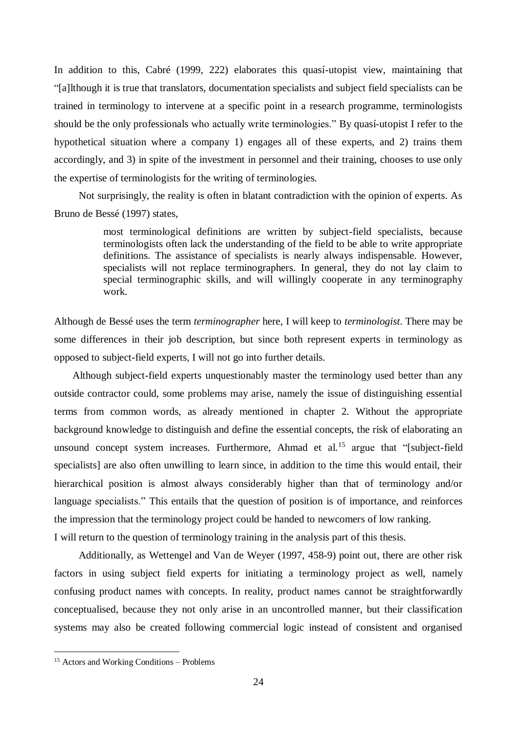In addition to this, Cabré (1999, 222) elaborates this quasí-utopist view, maintaining that "[a]lthough it is true that translators, documentation specialists and subject field specialists can be trained in terminology to intervene at a specific point in a research programme, terminologists should be the only professionals who actually write terminologies." By quasí-utopist I refer to the hypothetical situation where a company 1) engages all of these experts, and 2) trains them accordingly, and 3) in spite of the investment in personnel and their training, chooses to use only the expertise of terminologists for the writing of terminologies.

Not surprisingly, the reality is often in blatant contradiction with the opinion of experts. As Bruno de Bessé (1997) states,

> most terminological definitions are written by subject-field specialists, because terminologists often lack the understanding of the field to be able to write appropriate definitions. The assistance of specialists is nearly always indispensable. However, specialists will not replace terminographers. In general, they do not lay claim to special terminographic skills, and will willingly cooperate in any terminography work.

Although de Bessé uses the term *terminographer* here, I will keep to *terminologist*. There may be some differences in their job description, but since both represent experts in terminology as opposed to subject-field experts, I will not go into further details.

 Although subject-field experts unquestionably master the terminology used better than any outside contractor could, some problems may arise, namely the issue of distinguishing essential terms from common words, as already mentioned in chapter 2. Without the appropriate background knowledge to distinguish and define the essential concepts, the risk of elaborating an unsound concept system increases. Furthermore, Ahmad et al.<sup>15</sup> argue that "[subject-field specialists] are also often unwilling to learn since, in addition to the time this would entail, their hierarchical position is almost always considerably higher than that of terminology and/or language specialists." This entails that the question of position is of importance, and reinforces the impression that the terminology project could be handed to newcomers of low ranking. I will return to the question of terminology training in the analysis part of this thesis.

Additionally, as Wettengel and Van de Weyer (1997, 458-9) point out, there are other risk factors in using subject field experts for initiating a terminology project as well, namely confusing product names with concepts. In reality, product names cannot be straightforwardly conceptualised, because they not only arise in an uncontrolled manner, but their classification systems may also be created following commercial logic instead of consistent and organised

<sup>&</sup>lt;sup>15</sup> Actors and Working Conditions – Problems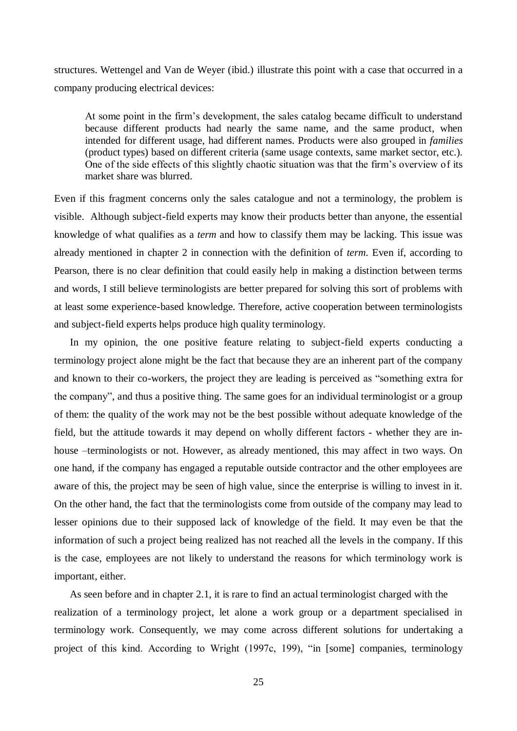structures. Wettengel and Van de Weyer (ibid.) illustrate this point with a case that occurred in a company producing electrical devices:

At some point in the firm's development, the sales catalog became difficult to understand because different products had nearly the same name, and the same product, when intended for different usage, had different names. Products were also grouped in *families*  (product types) based on different criteria (same usage contexts, same market sector, etc.). One of the side effects of this slightly chaotic situation was that the firm's overview of its market share was blurred.

Even if this fragment concerns only the sales catalogue and not a terminology, the problem is visible. Although subject-field experts may know their products better than anyone, the essential knowledge of what qualifies as a *term* and how to classify them may be lacking. This issue was already mentioned in chapter 2 in connection with the definition of *term*. Even if, according to Pearson, there is no clear definition that could easily help in making a distinction between terms and words, I still believe terminologists are better prepared for solving this sort of problems with at least some experience-based knowledge. Therefore, active cooperation between terminologists and subject-field experts helps produce high quality terminology.

 In my opinion, the one positive feature relating to subject-field experts conducting a terminology project alone might be the fact that because they are an inherent part of the company and known to their co-workers, the project they are leading is perceived as "something extra for the company", and thus a positive thing. The same goes for an individual terminologist or a group of them: the quality of the work may not be the best possible without adequate knowledge of the field, but the attitude towards it may depend on wholly different factors - whether they are inhouse –terminologists or not. However, as already mentioned, this may affect in two ways. On one hand, if the company has engaged a reputable outside contractor and the other employees are aware of this, the project may be seen of high value, since the enterprise is willing to invest in it. On the other hand, the fact that the terminologists come from outside of the company may lead to lesser opinions due to their supposed lack of knowledge of the field. It may even be that the information of such a project being realized has not reached all the levels in the company. If this is the case, employees are not likely to understand the reasons for which terminology work is important, either.

As seen before and in chapter 2.1, it is rare to find an actual terminologist charged with the realization of a terminology project, let alone a work group or a department specialised in terminology work. Consequently, we may come across different solutions for undertaking a project of this kind. According to Wright (1997c, 199), "in [some] companies, terminology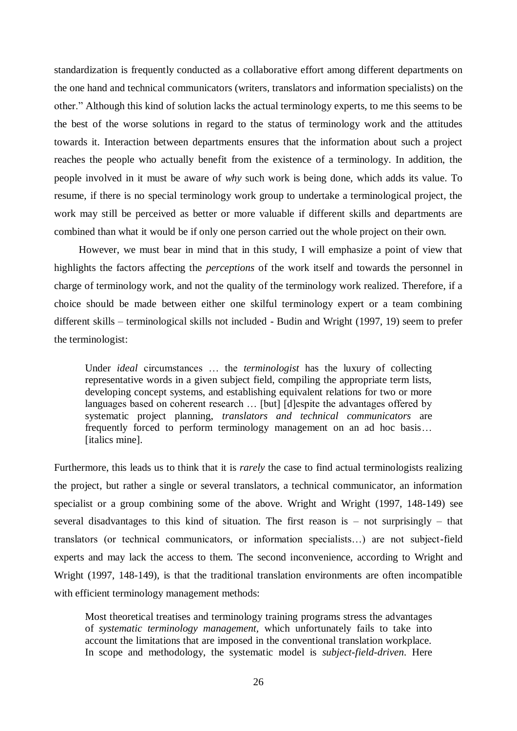standardization is frequently conducted as a collaborative effort among different departments on the one hand and technical communicators (writers, translators and information specialists) on the other." Although this kind of solution lacks the actual terminology experts, to me this seems to be the best of the worse solutions in regard to the status of terminology work and the attitudes towards it. Interaction between departments ensures that the information about such a project reaches the people who actually benefit from the existence of a terminology. In addition, the people involved in it must be aware of *why* such work is being done, which adds its value. To resume, if there is no special terminology work group to undertake a terminological project, the work may still be perceived as better or more valuable if different skills and departments are combined than what it would be if only one person carried out the whole project on their own.

However, we must bear in mind that in this study, I will emphasize a point of view that highlights the factors affecting the *perceptions* of the work itself and towards the personnel in charge of terminology work, and not the quality of the terminology work realized. Therefore, if a choice should be made between either one skilful terminology expert or a team combining different skills – terminological skills not included - Budin and Wright (1997, 19) seem to prefer the terminologist:

Under *ideal* circumstances … the *terminologist* has the luxury of collecting representative words in a given subject field, compiling the appropriate term lists, developing concept systems, and establishing equivalent relations for two or more languages based on coherent research ... [but] [d]espite the advantages offered by systematic project planning, *translators and technical communicators* are frequently forced to perform terminology management on an ad hoc basis… [italics mine].

Furthermore, this leads us to think that it is *rarely* the case to find actual terminologists realizing the project, but rather a single or several translators, a technical communicator, an information specialist or a group combining some of the above. Wright and Wright (1997, 148-149) see several disadvantages to this kind of situation. The first reason is – not surprisingly – that translators (or technical communicators, or information specialists…) are not subject-field experts and may lack the access to them. The second inconvenience, according to Wright and Wright (1997, 148-149), is that the traditional translation environments are often incompatible with efficient terminology management methods:

Most theoretical treatises and terminology training programs stress the advantages of *systematic terminology management,* which unfortunately fails to take into account the limitations that are imposed in the conventional translation workplace. In scope and methodology, the systematic model is *subject-field-driven*. Here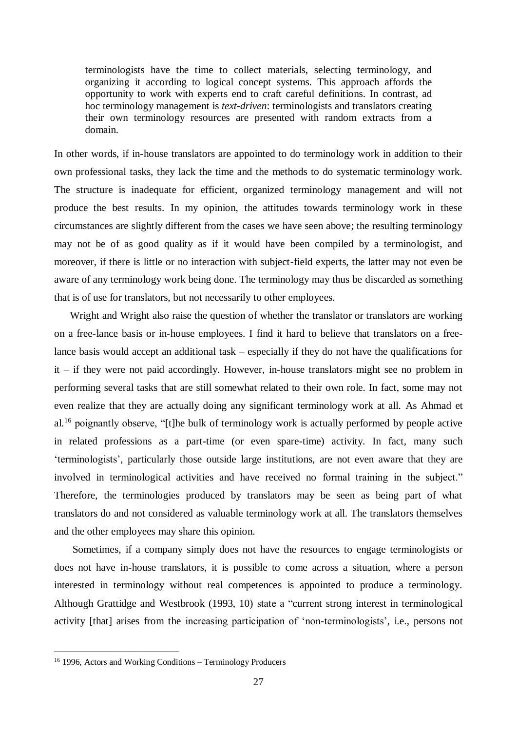terminologists have the time to collect materials, selecting terminology, and organizing it according to logical concept systems. This approach affords the opportunity to work with experts end to craft careful definitions. In contrast, ad hoc terminology management is *text-driven*: terminologists and translators creating their own terminology resources are presented with random extracts from a domain.

In other words, if in-house translators are appointed to do terminology work in addition to their own professional tasks, they lack the time and the methods to do systematic terminology work. The structure is inadequate for efficient, organized terminology management and will not produce the best results. In my opinion, the attitudes towards terminology work in these circumstances are slightly different from the cases we have seen above; the resulting terminology may not be of as good quality as if it would have been compiled by a terminologist, and moreover, if there is little or no interaction with subject-field experts, the latter may not even be aware of any terminology work being done. The terminology may thus be discarded as something that is of use for translators, but not necessarily to other employees.

 Wright and Wright also raise the question of whether the translator or translators are working on a free-lance basis or in-house employees. I find it hard to believe that translators on a freelance basis would accept an additional task – especially if they do not have the qualifications for it – if they were not paid accordingly. However, in-house translators might see no problem in performing several tasks that are still somewhat related to their own role. In fact, some may not even realize that they are actually doing any significant terminology work at all. As Ahmad et al.<sup>16</sup> poignantly observe, "[t]he bulk of terminology work is actually performed by people active in related professions as a part-time (or even spare-time) activity. In fact, many such 'terminologists', particularly those outside large institutions, are not even aware that they are involved in terminological activities and have received no formal training in the subject." Therefore, the terminologies produced by translators may be seen as being part of what translators do and not considered as valuable terminology work at all. The translators themselves and the other employees may share this opinion.

 Sometimes, if a company simply does not have the resources to engage terminologists or does not have in-house translators, it is possible to come across a situation, where a person interested in terminology without real competences is appointed to produce a terminology. Although Grattidge and Westbrook (1993, 10) state a "current strong interest in terminological activity [that] arises from the increasing participation of 'non-terminologists', i.e., persons not

<sup>&</sup>lt;sup>16</sup> 1996, Actors and Working Conditions – Terminology Producers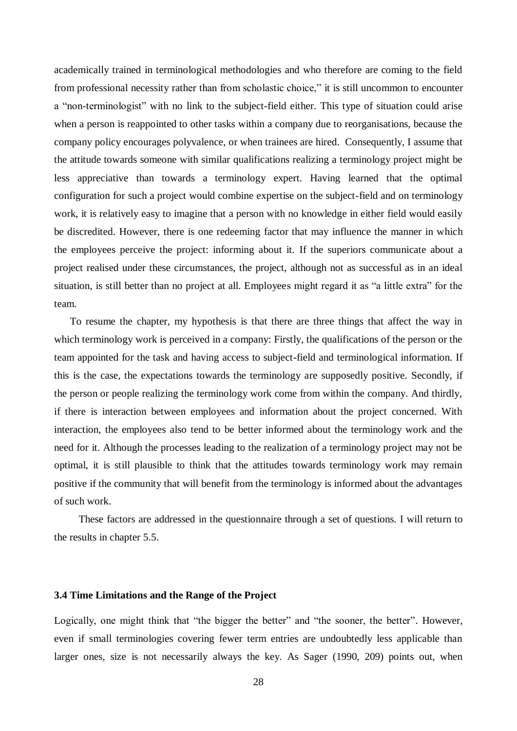academically trained in terminological methodologies and who therefore are coming to the field from professional necessity rather than from scholastic choice," it is still uncommon to encounter a "non-terminologist" with no link to the subject-field either. This type of situation could arise when a person is reappointed to other tasks within a company due to reorganisations, because the company policy encourages polyvalence, or when trainees are hired. Consequently, I assume that the attitude towards someone with similar qualifications realizing a terminology project might be less appreciative than towards a terminology expert. Having learned that the optimal configuration for such a project would combine expertise on the subject-field and on terminology work, it is relatively easy to imagine that a person with no knowledge in either field would easily be discredited. However, there is one redeeming factor that may influence the manner in which the employees perceive the project: informing about it. If the superiors communicate about a project realised under these circumstances, the project, although not as successful as in an ideal situation, is still better than no project at all. Employees might regard it as "a little extra" for the team.

 To resume the chapter, my hypothesis is that there are three things that affect the way in which terminology work is perceived in a company: Firstly, the qualifications of the person or the team appointed for the task and having access to subject-field and terminological information. If this is the case, the expectations towards the terminology are supposedly positive. Secondly, if the person or people realizing the terminology work come from within the company. And thirdly, if there is interaction between employees and information about the project concerned. With interaction, the employees also tend to be better informed about the terminology work and the need for it. Although the processes leading to the realization of a terminology project may not be optimal, it is still plausible to think that the attitudes towards terminology work may remain positive if the community that will benefit from the terminology is informed about the advantages of such work.

These factors are addressed in the questionnaire through a set of questions. I will return to the results in chapter 5.5.

# <span id="page-30-0"></span>**3.4 Time Limitations and the Range of the Project**

Logically, one might think that "the bigger the better" and "the sooner, the better". However, even if small terminologies covering fewer term entries are undoubtedly less applicable than larger ones, size is not necessarily always the key. As Sager (1990, 209) points out, when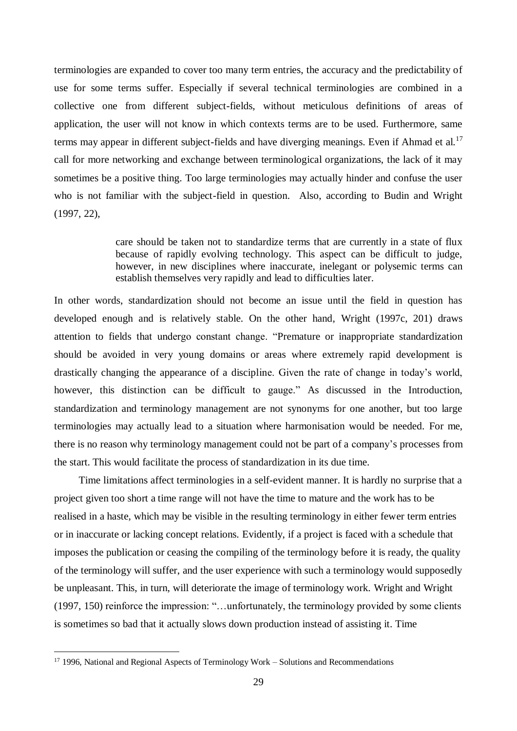terminologies are expanded to cover too many term entries, the accuracy and the predictability of use for some terms suffer. Especially if several technical terminologies are combined in a collective one from different subject-fields, without meticulous definitions of areas of application, the user will not know in which contexts terms are to be used. Furthermore, same terms may appear in different subject-fields and have diverging meanings. Even if Ahmad et al.<sup>17</sup> call for more networking and exchange between terminological organizations, the lack of it may sometimes be a positive thing. Too large terminologies may actually hinder and confuse the user who is not familiar with the subject-field in question. Also, according to Budin and Wright (1997, 22),

> care should be taken not to standardize terms that are currently in a state of flux because of rapidly evolving technology. This aspect can be difficult to judge, however, in new disciplines where inaccurate, inelegant or polysemic terms can establish themselves very rapidly and lead to difficulties later.

In other words, standardization should not become an issue until the field in question has developed enough and is relatively stable. On the other hand, Wright (1997c, 201) draws attention to fields that undergo constant change. "Premature or inappropriate standardization should be avoided in very young domains or areas where extremely rapid development is drastically changing the appearance of a discipline. Given the rate of change in today's world, however, this distinction can be difficult to gauge." As discussed in the Introduction, standardization and terminology management are not synonyms for one another, but too large terminologies may actually lead to a situation where harmonisation would be needed. For me, there is no reason why terminology management could not be part of a company's processes from the start. This would facilitate the process of standardization in its due time.

Time limitations affect terminologies in a self-evident manner. It is hardly no surprise that a project given too short a time range will not have the time to mature and the work has to be realised in a haste, which may be visible in the resulting terminology in either fewer term entries or in inaccurate or lacking concept relations. Evidently, if a project is faced with a schedule that imposes the publication or ceasing the compiling of the terminology before it is ready, the quality of the terminology will suffer, and the user experience with such a terminology would supposedly be unpleasant. This, in turn, will deteriorate the image of terminology work. Wright and Wright (1997, 150) reinforce the impression: "…unfortunately, the terminology provided by some clients is sometimes so bad that it actually slows down production instead of assisting it. Time

 $17$  1996, National and Regional Aspects of Terminology Work – Solutions and Recommendations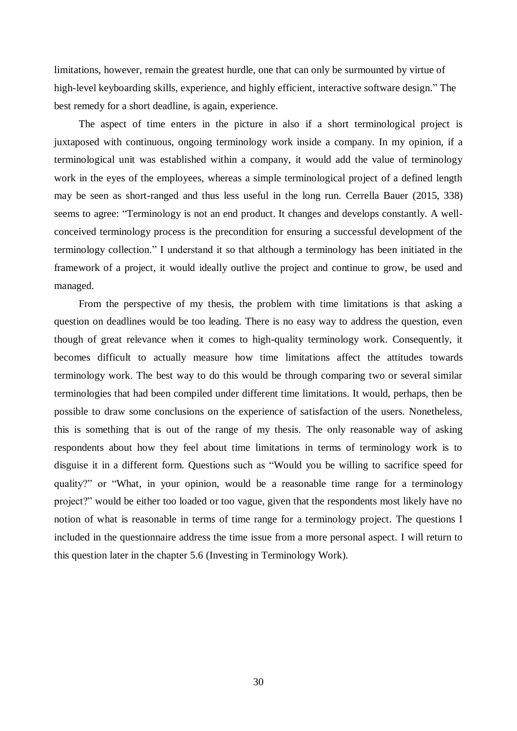limitations, however, remain the greatest hurdle, one that can only be surmounted by virtue of high-level keyboarding skills, experience, and highly efficient, interactive software design." The best remedy for a short deadline, is again, experience.

The aspect of time enters in the picture in also if a short terminological project is juxtaposed with continuous, ongoing terminology work inside a company. In my opinion, if a terminological unit was established within a company, it would add the value of terminology work in the eyes of the employees, whereas a simple terminological project of a defined length may be seen as short-ranged and thus less useful in the long run. Cerrella Bauer (2015, 338) seems to agree: "Terminology is not an end product. It changes and develops constantly. A wellconceived terminology process is the precondition for ensuring a successful development of the terminology collection." I understand it so that although a terminology has been initiated in the framework of a project, it would ideally outlive the project and continue to grow, be used and managed.

<span id="page-32-0"></span>From the perspective of my thesis, the problem with time limitations is that asking a question on deadlines would be too leading. There is no easy way to address the question, even though of great relevance when it comes to high-quality terminology work. Consequently, it becomes difficult to actually measure how time limitations affect the attitudes towards terminology work. The best way to do this would be through comparing two or several similar terminologies that had been compiled under different time limitations. It would, perhaps, then be possible to draw some conclusions on the experience of satisfaction of the users. Nonetheless, this is something that is out of the range of my thesis. The only reasonable way of asking respondents about how they feel about time limitations in terms of terminology work is to disguise it in a different form. Questions such as "Would you be willing to sacrifice speed for quality?" or "What, in your opinion, would be a reasonable time range for a terminology project?" would be either too loaded or too vague, given that the respondents most likely have no notion of what is reasonable in terms of time range for a terminology project. The questions I included in the questionnaire address the time issue from a more personal aspect. I will return to this question later in the chapter 5.6 (Investing in Terminology Work).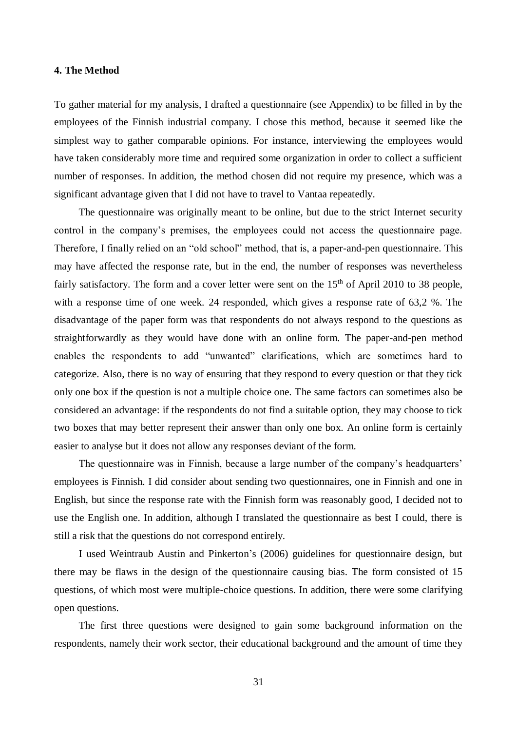#### **4. The Method**

To gather material for my analysis, I drafted a questionnaire (see Appendix) to be filled in by the employees of the Finnish industrial company. I chose this method, because it seemed like the simplest way to gather comparable opinions. For instance, interviewing the employees would have taken considerably more time and required some organization in order to collect a sufficient number of responses. In addition, the method chosen did not require my presence, which was a significant advantage given that I did not have to travel to Vantaa repeatedly.

The questionnaire was originally meant to be online, but due to the strict Internet security control in the company's premises, the employees could not access the questionnaire page. Therefore, I finally relied on an "old school" method, that is, a paper-and-pen questionnaire. This may have affected the response rate, but in the end, the number of responses was nevertheless fairly satisfactory. The form and a cover letter were sent on the  $15<sup>th</sup>$  of April 2010 to 38 people, with a response time of one week. 24 responded, which gives a response rate of 63,2 %. The disadvantage of the paper form was that respondents do not always respond to the questions as straightforwardly as they would have done with an online form. The paper-and-pen method enables the respondents to add "unwanted" clarifications, which are sometimes hard to categorize. Also, there is no way of ensuring that they respond to every question or that they tick only one box if the question is not a multiple choice one. The same factors can sometimes also be considered an advantage: if the respondents do not find a suitable option, they may choose to tick two boxes that may better represent their answer than only one box. An online form is certainly easier to analyse but it does not allow any responses deviant of the form.

The questionnaire was in Finnish, because a large number of the company's headquarters' employees is Finnish. I did consider about sending two questionnaires, one in Finnish and one in English, but since the response rate with the Finnish form was reasonably good, I decided not to use the English one. In addition, although I translated the questionnaire as best I could, there is still a risk that the questions do not correspond entirely.

I used Weintraub Austin and Pinkerton's (2006) guidelines for questionnaire design, but there may be flaws in the design of the questionnaire causing bias. The form consisted of 15 questions, of which most were multiple-choice questions. In addition, there were some clarifying open questions.

The first three questions were designed to gain some background information on the respondents, namely their work sector, their educational background and the amount of time they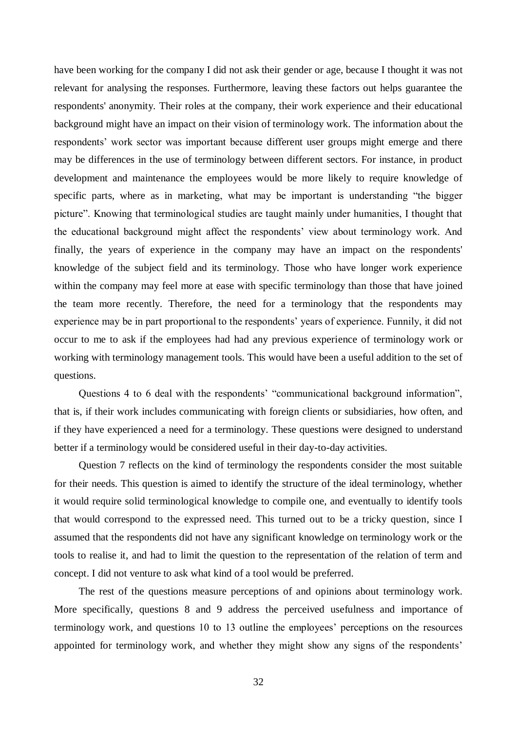have been working for the company I did not ask their gender or age, because I thought it was not relevant for analysing the responses. Furthermore, leaving these factors out helps guarantee the respondents' anonymity. Their roles at the company, their work experience and their educational background might have an impact on their vision of terminology work. The information about the respondents' work sector was important because different user groups might emerge and there may be differences in the use of terminology between different sectors. For instance, in product development and maintenance the employees would be more likely to require knowledge of specific parts, where as in marketing, what may be important is understanding "the bigger picture". Knowing that terminological studies are taught mainly under humanities, I thought that the educational background might affect the respondents' view about terminology work. And finally, the years of experience in the company may have an impact on the respondents' knowledge of the subject field and its terminology. Those who have longer work experience within the company may feel more at ease with specific terminology than those that have joined the team more recently. Therefore, the need for a terminology that the respondents may experience may be in part proportional to the respondents' years of experience. Funnily, it did not occur to me to ask if the employees had had any previous experience of terminology work or working with terminology management tools. This would have been a useful addition to the set of questions.

Questions 4 to 6 deal with the respondents' "communicational background information", that is, if their work includes communicating with foreign clients or subsidiaries, how often, and if they have experienced a need for a terminology. These questions were designed to understand better if a terminology would be considered useful in their day-to-day activities.

Question 7 reflects on the kind of terminology the respondents consider the most suitable for their needs. This question is aimed to identify the structure of the ideal terminology, whether it would require solid terminological knowledge to compile one, and eventually to identify tools that would correspond to the expressed need. This turned out to be a tricky question, since I assumed that the respondents did not have any significant knowledge on terminology work or the tools to realise it, and had to limit the question to the representation of the relation of term and concept. I did not venture to ask what kind of a tool would be preferred.

The rest of the questions measure perceptions of and opinions about terminology work. More specifically, questions 8 and 9 address the perceived usefulness and importance of terminology work, and questions 10 to 13 outline the employees' perceptions on the resources appointed for terminology work, and whether they might show any signs of the respondents'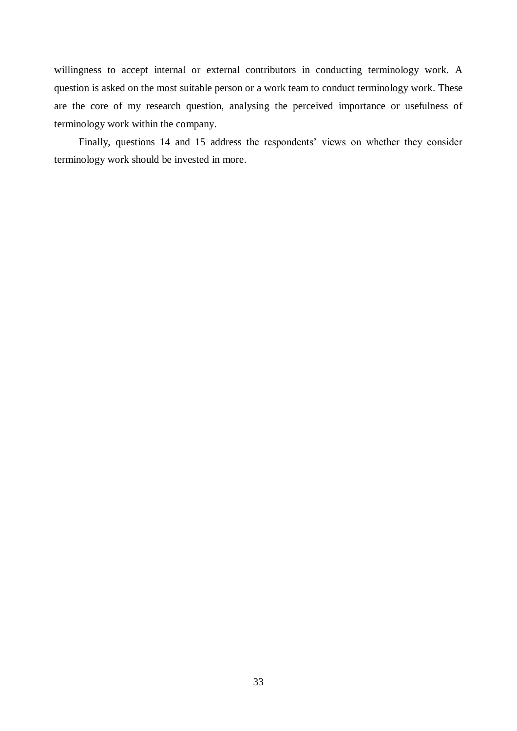willingness to accept internal or external contributors in conducting terminology work. A question is asked on the most suitable person or a work team to conduct terminology work. These are the core of my research question, analysing the perceived importance or usefulness of terminology work within the company.

Finally, questions 14 and 15 address the respondents' views on whether they consider terminology work should be invested in more.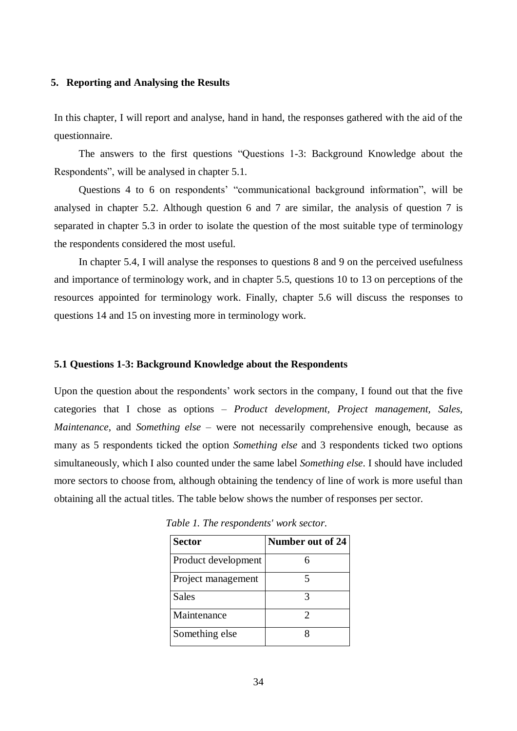#### <span id="page-36-0"></span>**5. Reporting and Analysing the Results**

In this chapter, I will report and analyse, hand in hand, the responses gathered with the aid of the questionnaire.

The answers to the first questions "Questions 1-3: Background Knowledge about the Respondents", will be analysed in chapter 5.1.

Questions 4 to 6 on respondents' "communicational background information", will be analysed in chapter 5.2. Although question 6 and 7 are similar, the analysis of question 7 is separated in chapter 5.3 in order to isolate the question of the most suitable type of terminology the respondents considered the most useful.

In chapter 5.4, I will analyse the responses to questions 8 and 9 on the perceived usefulness and importance of terminology work, and in chapter 5.5, questions 10 to 13 on perceptions of the resources appointed for terminology work. Finally, chapter 5.6 will discuss the responses to questions 14 and 15 on investing more in terminology work.

#### <span id="page-36-1"></span>**5.1 Questions 1-3: Background Knowledge about the Respondents**

Upon the question about the respondents' work sectors in the company, I found out that the five categories that I chose as options – *Product development, Project management, Sales, Maintenance*, and *Something else* – were not necessarily comprehensive enough, because as many as 5 respondents ticked the option *Something else* and 3 respondents ticked two options simultaneously, which I also counted under the same label *Something else*. I should have included more sectors to choose from, although obtaining the tendency of line of work is more useful than obtaining all the actual titles. The table below shows the number of responses per sector.

| <b>Sector</b>       | Number out of 24 |
|---------------------|------------------|
| Product development |                  |
| Project management  |                  |
| Sales               |                  |
| Maintenance         |                  |
| Something else      |                  |

*Table 1. The respondents' work sector.*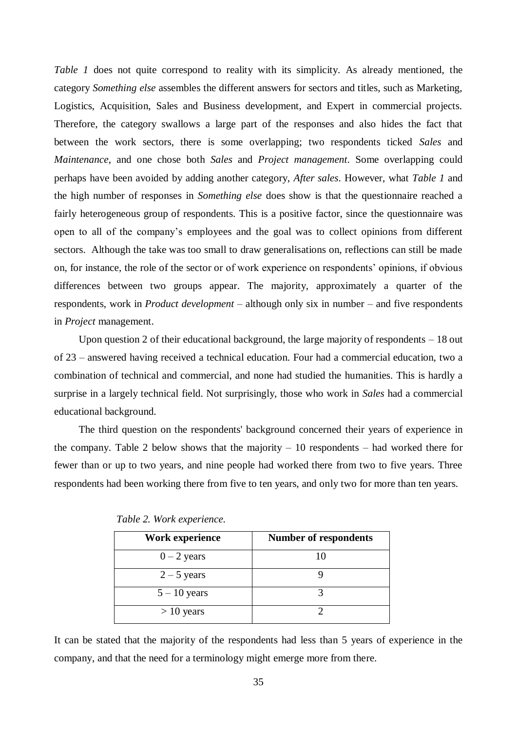*Table 1* does not quite correspond to reality with its simplicity. As already mentioned, the category *Something else* assembles the different answers for sectors and titles, such as Marketing, Logistics, Acquisition, Sales and Business development, and Expert in commercial projects. Therefore, the category swallows a large part of the responses and also hides the fact that between the work sectors, there is some overlapping; two respondents ticked *Sales* and *Maintenance*, and one chose both *Sales* and *Project management*. Some overlapping could perhaps have been avoided by adding another category, *After sales*. However, what *Table 1* and the high number of responses in *Something else* does show is that the questionnaire reached a fairly heterogeneous group of respondents. This is a positive factor, since the questionnaire was open to all of the company's employees and the goal was to collect opinions from different sectors. Although the take was too small to draw generalisations on, reflections can still be made on, for instance, the role of the sector or of work experience on respondents' opinions, if obvious differences between two groups appear. The majority, approximately a quarter of the respondents, work in *Product development* – although only six in number – and five respondents in *Project* management.

Upon question 2 of their educational background, the large majority of respondents – 18 out of 23 – answered having received a technical education. Four had a commercial education, two a combination of technical and commercial, and none had studied the humanities. This is hardly a surprise in a largely technical field. Not surprisingly, those who work in *Sales* had a commercial educational background.

The third question on the respondents' background concerned their years of experience in the company. Table 2 below shows that the majority  $-10$  respondents  $-$  had worked there for fewer than or up to two years, and nine people had worked there from two to five years. Three respondents had been working there from five to ten years, and only two for more than ten years.

| <b>Work experience</b> | <b>Number of respondents</b> |
|------------------------|------------------------------|
| $0 - 2$ years          | 10                           |
| $2 - 5$ years          |                              |
| $5 - 10$ years         |                              |
| $> 10$ years           |                              |

 *Table 2. Work experience.*

It can be stated that the majority of the respondents had less than 5 years of experience in the company, and that the need for a terminology might emerge more from there.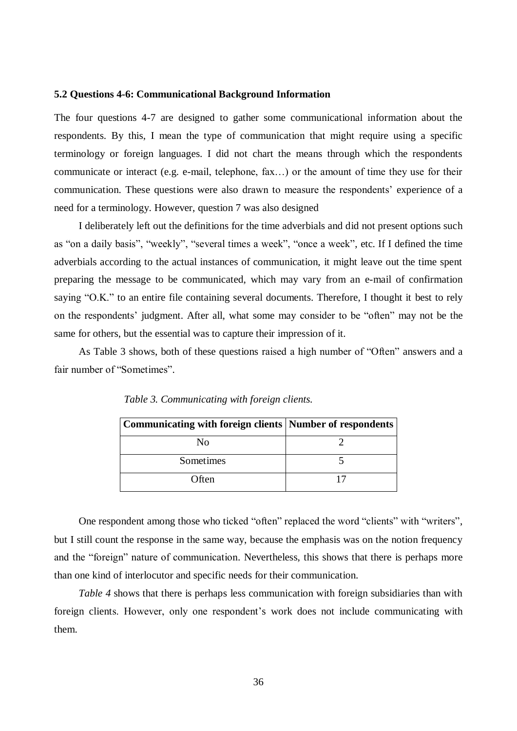#### <span id="page-38-0"></span>**5.2 Questions 4-6: Communicational Background Information**

The four questions 4-7 are designed to gather some communicational information about the respondents. By this, I mean the type of communication that might require using a specific terminology or foreign languages. I did not chart the means through which the respondents communicate or interact (e.g. e-mail, telephone, fax…) or the amount of time they use for their communication. These questions were also drawn to measure the respondents' experience of a need for a terminology. However, question 7 was also designed

I deliberately left out the definitions for the time adverbials and did not present options such as "on a daily basis", "weekly", "several times a week", "once a week", etc. If I defined the time adverbials according to the actual instances of communication, it might leave out the time spent preparing the message to be communicated, which may vary from an e-mail of confirmation saying "O.K." to an entire file containing several documents. Therefore, I thought it best to rely on the respondents' judgment. After all, what some may consider to be "often" may not be the same for others, but the essential was to capture their impression of it.

As Table 3 shows, both of these questions raised a high number of "Often" answers and a fair number of "Sometimes".

| Communicating with foreign clients   Number of respondents |  |
|------------------------------------------------------------|--|
| Nο                                                         |  |
| Sometimes                                                  |  |
| Often                                                      |  |

 *Table 3. Communicating with foreign clients.*

One respondent among those who ticked "often" replaced the word "clients" with "writers", but I still count the response in the same way, because the emphasis was on the notion frequency and the "foreign" nature of communication. Nevertheless, this shows that there is perhaps more than one kind of interlocutor and specific needs for their communication.

*Table 4* shows that there is perhaps less communication with foreign subsidiaries than with foreign clients. However, only one respondent's work does not include communicating with them.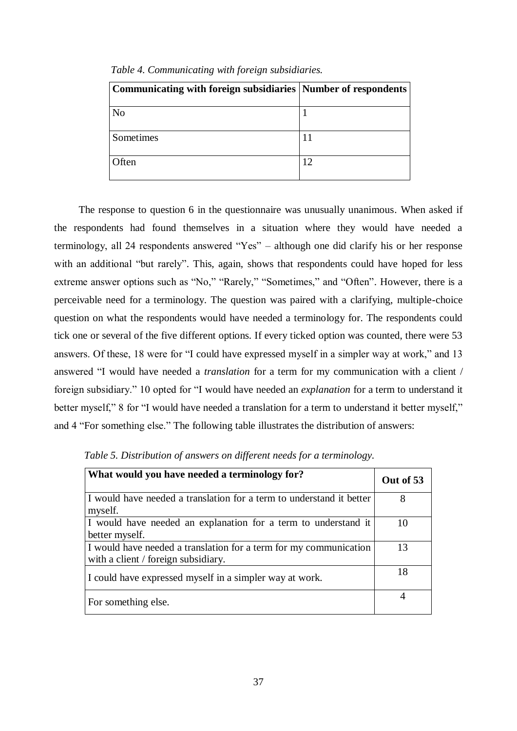| Communicating with foreign subsidiaries Number of respondents |  |
|---------------------------------------------------------------|--|
| No                                                            |  |
| Sometimes                                                     |  |
| <b>Often</b>                                                  |  |

*Table 4. Communicating with foreign subsidiaries.*

The response to question 6 in the questionnaire was unusually unanimous. When asked if the respondents had found themselves in a situation where they would have needed a terminology, all 24 respondents answered "Yes" – although one did clarify his or her response with an additional "but rarely". This, again, shows that respondents could have hoped for less extreme answer options such as "No," "Rarely," "Sometimes," and "Often". However, there is a perceivable need for a terminology. The question was paired with a clarifying, multiple-choice question on what the respondents would have needed a terminology for. The respondents could tick one or several of the five different options. If every ticked option was counted, there were 53 answers. Of these, 18 were for "I could have expressed myself in a simpler way at work," and 13 answered "I would have needed a *translation* for a term for my communication with a client / foreign subsidiary." 10 opted for "I would have needed an *explanation* for a term to understand it better myself," 8 for "I would have needed a translation for a term to understand it better myself," and 4 "For something else." The following table illustrates the distribution of answers:

| What would you have needed a terminology for?                                                            | Out of 53      |
|----------------------------------------------------------------------------------------------------------|----------------|
| I would have needed a translation for a term to understand it better<br>myself.                          | 8              |
| I would have needed an explanation for a term to understand it<br>better myself.                         | 10             |
| I would have needed a translation for a term for my communication<br>with a client / foreign subsidiary. | 13             |
| I could have expressed myself in a simpler way at work.                                                  | 18             |
| For something else.                                                                                      | $\overline{4}$ |

 *Table 5. Distribution of answers on different needs for a terminology.*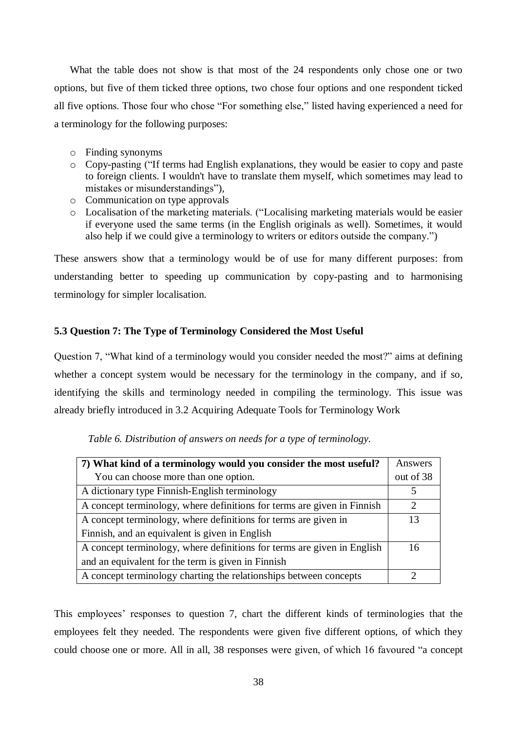What the table does not show is that most of the 24 respondents only chose one or two options, but five of them ticked three options, two chose four options and one respondent ticked all five options. Those four who chose "For something else," listed having experienced a need for a terminology for the following purposes:

- o Finding synonyms
- o Copy-pasting ("If terms had English explanations, they would be easier to copy and paste to foreign clients. I wouldn't have to translate them myself, which sometimes may lead to mistakes or misunderstandings"),
- o Communication on type approvals
- o Localisation of the marketing materials. ("Localising marketing materials would be easier if everyone used the same terms (in the English originals as well). Sometimes, it would also help if we could give a terminology to writers or editors outside the company.")

These answers show that a terminology would be of use for many different purposes: from understanding better to speeding up communication by copy-pasting and to harmonising terminology for simpler localisation.

# <span id="page-40-0"></span>**5.3 Question 7: The Type of Terminology Considered the Most Useful**

Question 7, "What kind of a terminology would you consider needed the most?" aims at defining whether a concept system would be necessary for the terminology in the company, and if so, identifying the skills and terminology needed in compiling the terminology. This issue was already briefly introduced in 3.2 Acquiring Adequate Tools for Terminology Work

| 7) What kind of a terminology would you consider the most useful?       |           |
|-------------------------------------------------------------------------|-----------|
| You can choose more than one option.                                    | out of 38 |
| A dictionary type Finnish-English terminology                           |           |
| A concept terminology, where definitions for terms are given in Finnish |           |
| A concept terminology, where definitions for terms are given in         |           |
| Finnish, and an equivalent is given in English                          |           |
| A concept terminology, where definitions for terms are given in English | 16        |
| and an equivalent for the term is given in Finnish                      |           |
| A concept terminology charting the relationships between concepts       |           |

 *Table 6. Distribution of answers on needs for a type of terminology.*

This employees' responses to question 7, chart the different kinds of terminologies that the employees felt they needed. The respondents were given five different options, of which they could choose one or more. All in all, 38 responses were given, of which 16 favoured "a concept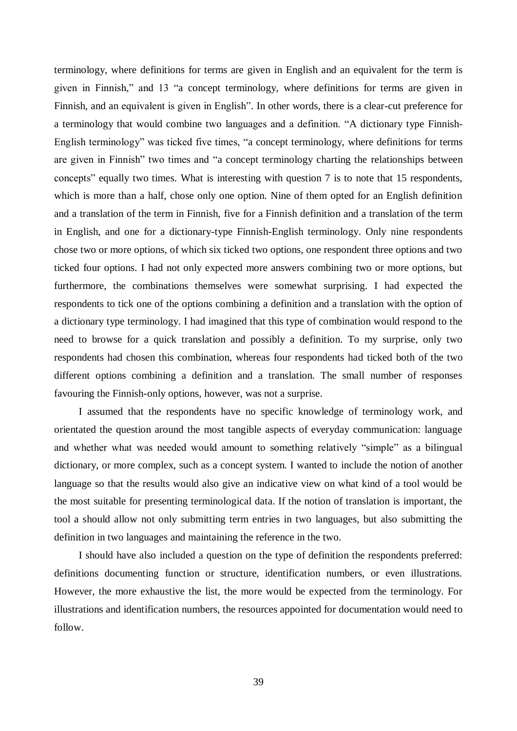terminology, where definitions for terms are given in English and an equivalent for the term is given in Finnish," and 13 "a concept terminology, where definitions for terms are given in Finnish, and an equivalent is given in English". In other words, there is a clear-cut preference for a terminology that would combine two languages and a definition. "A dictionary type Finnish-English terminology" was ticked five times, "a concept terminology, where definitions for terms are given in Finnish" two times and "a concept terminology charting the relationships between concepts" equally two times. What is interesting with question 7 is to note that 15 respondents, which is more than a half, chose only one option. Nine of them opted for an English definition and a translation of the term in Finnish, five for a Finnish definition and a translation of the term in English, and one for a dictionary-type Finnish-English terminology. Only nine respondents chose two or more options, of which six ticked two options, one respondent three options and two ticked four options. I had not only expected more answers combining two or more options, but furthermore, the combinations themselves were somewhat surprising. I had expected the respondents to tick one of the options combining a definition and a translation with the option of a dictionary type terminology. I had imagined that this type of combination would respond to the need to browse for a quick translation and possibly a definition. To my surprise, only two respondents had chosen this combination, whereas four respondents had ticked both of the two different options combining a definition and a translation. The small number of responses favouring the Finnish-only options, however, was not a surprise.

I assumed that the respondents have no specific knowledge of terminology work, and orientated the question around the most tangible aspects of everyday communication: language and whether what was needed would amount to something relatively "simple" as a bilingual dictionary, or more complex, such as a concept system. I wanted to include the notion of another language so that the results would also give an indicative view on what kind of a tool would be the most suitable for presenting terminological data. If the notion of translation is important, the tool a should allow not only submitting term entries in two languages, but also submitting the definition in two languages and maintaining the reference in the two.

I should have also included a question on the type of definition the respondents preferred: definitions documenting function or structure, identification numbers, or even illustrations. However, the more exhaustive the list, the more would be expected from the terminology. For illustrations and identification numbers, the resources appointed for documentation would need to follow.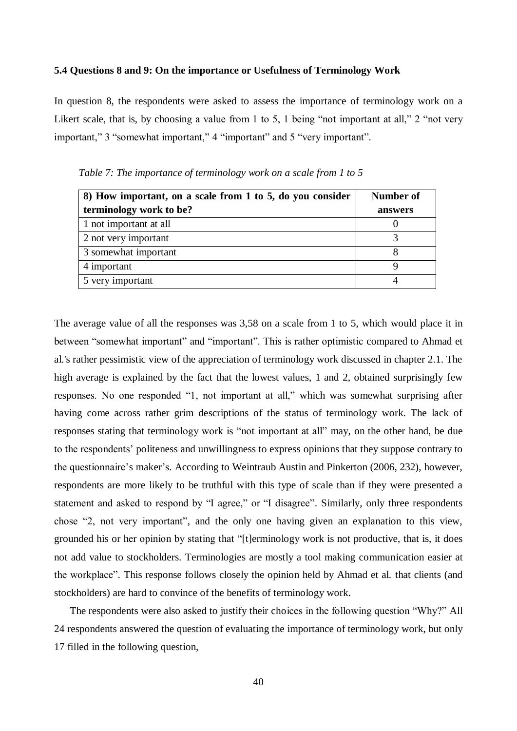#### <span id="page-42-0"></span>**5.4 Questions 8 and 9: On the importance or Usefulness of Terminology Work**

In question 8, the respondents were asked to assess the importance of terminology work on a Likert scale, that is, by choosing a value from 1 to 5, 1 being "not important at all," 2 "not very important," 3 "somewhat important," 4 "important" and 5 "very important".

| 8) How important, on a scale from 1 to 5, do you consider | Number of |  |
|-----------------------------------------------------------|-----------|--|
| terminology work to be?                                   | answers   |  |
| 1 not important at all                                    |           |  |
| 2 not very important                                      |           |  |
| 3 somewhat important                                      |           |  |
| 4 important                                               |           |  |
| 5 very important                                          |           |  |

*Table 7: The importance of terminology work on a scale from 1 to 5*

The average value of all the responses was 3,58 on a scale from 1 to 5, which would place it in between "somewhat important" and "important". This is rather optimistic compared to Ahmad et al.'s rather pessimistic view of the appreciation of terminology work discussed in chapter 2.1. The high average is explained by the fact that the lowest values, 1 and 2, obtained surprisingly few responses. No one responded "1, not important at all," which was somewhat surprising after having come across rather grim descriptions of the status of terminology work. The lack of responses stating that terminology work is "not important at all" may, on the other hand, be due to the respondents' politeness and unwillingness to express opinions that they suppose contrary to the questionnaire's maker's. According to Weintraub Austin and Pinkerton (2006, 232), however, respondents are more likely to be truthful with this type of scale than if they were presented a statement and asked to respond by "I agree," or "I disagree". Similarly, only three respondents chose "2, not very important", and the only one having given an explanation to this view, grounded his or her opinion by stating that "[t]erminology work is not productive, that is, it does not add value to stockholders. Terminologies are mostly a tool making communication easier at the workplace". This response follows closely the opinion held by Ahmad et al. that clients (and stockholders) are hard to convince of the benefits of terminology work.

The respondents were also asked to justify their choices in the following question "Why?" All 24 respondents answered the question of evaluating the importance of terminology work, but only 17 filled in the following question,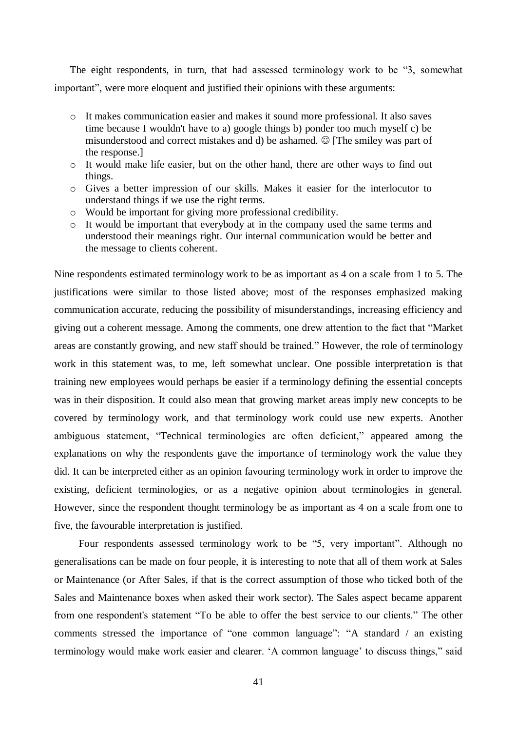The eight respondents, in turn, that had assessed terminology work to be "3, somewhat important", were more eloquent and justified their opinions with these arguments:

- o It makes communication easier and makes it sound more professional. It also saves time because I wouldn't have to a) google things b) ponder too much myself c) be misunderstood and correct mistakes and d) be ashamed. ☺ [The smiley was part of the response.]
- o It would make life easier, but on the other hand, there are other ways to find out things.
- o Gives a better impression of our skills. Makes it easier for the interlocutor to understand things if we use the right terms.
- o Would be important for giving more professional credibility.
- o It would be important that everybody at in the company used the same terms and understood their meanings right. Our internal communication would be better and the message to clients coherent.

Nine respondents estimated terminology work to be as important as 4 on a scale from 1 to 5. The justifications were similar to those listed above; most of the responses emphasized making communication accurate, reducing the possibility of misunderstandings, increasing efficiency and giving out a coherent message. Among the comments, one drew attention to the fact that "Market areas are constantly growing, and new staff should be trained." However, the role of terminology work in this statement was, to me, left somewhat unclear. One possible interpretation is that training new employees would perhaps be easier if a terminology defining the essential concepts was in their disposition. It could also mean that growing market areas imply new concepts to be covered by terminology work, and that terminology work could use new experts. Another ambiguous statement, "Technical terminologies are often deficient," appeared among the explanations on why the respondents gave the importance of terminology work the value they did. It can be interpreted either as an opinion favouring terminology work in order to improve the existing, deficient terminologies, or as a negative opinion about terminologies in general. However, since the respondent thought terminology be as important as 4 on a scale from one to five, the favourable interpretation is justified.

Four respondents assessed terminology work to be "5, very important". Although no generalisations can be made on four people, it is interesting to note that all of them work at Sales or Maintenance (or After Sales, if that is the correct assumption of those who ticked both of the Sales and Maintenance boxes when asked their work sector). The Sales aspect became apparent from one respondent's statement "To be able to offer the best service to our clients." The other comments stressed the importance of "one common language": "A standard / an existing terminology would make work easier and clearer. 'A common language' to discuss things," said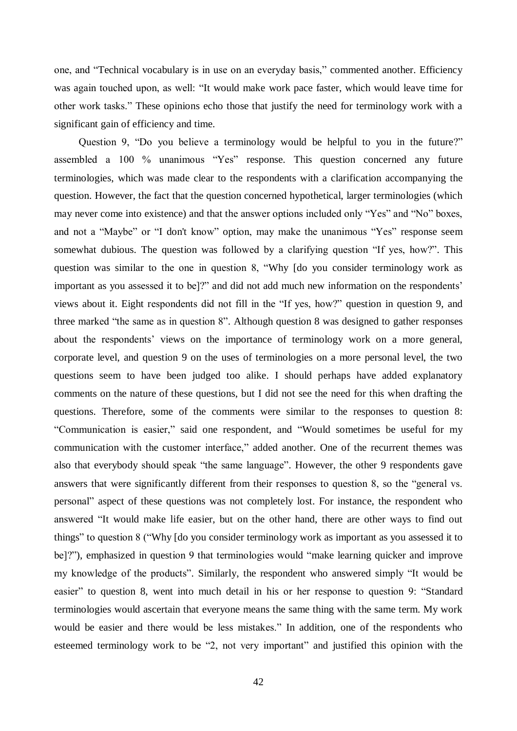one, and "Technical vocabulary is in use on an everyday basis," commented another. Efficiency was again touched upon, as well: "It would make work pace faster, which would leave time for other work tasks." These opinions echo those that justify the need for terminology work with a significant gain of efficiency and time.

Question 9, "Do you believe a terminology would be helpful to you in the future?" assembled a 100 % unanimous "Yes" response. This question concerned any future terminologies, which was made clear to the respondents with a clarification accompanying the question. However, the fact that the question concerned hypothetical, larger terminologies (which may never come into existence) and that the answer options included only "Yes" and "No" boxes, and not a "Maybe" or "I don't know" option, may make the unanimous "Yes" response seem somewhat dubious. The question was followed by a clarifying question "If yes, how?". This question was similar to the one in question 8, "Why [do you consider terminology work as important as you assessed it to be]?" and did not add much new information on the respondents' views about it. Eight respondents did not fill in the "If yes, how?" question in question 9, and three marked "the same as in question 8". Although question 8 was designed to gather responses about the respondents' views on the importance of terminology work on a more general, corporate level, and question 9 on the uses of terminologies on a more personal level, the two questions seem to have been judged too alike. I should perhaps have added explanatory comments on the nature of these questions, but I did not see the need for this when drafting the questions. Therefore, some of the comments were similar to the responses to question 8: "Communication is easier," said one respondent, and "Would sometimes be useful for my communication with the customer interface," added another. One of the recurrent themes was also that everybody should speak "the same language". However, the other 9 respondents gave answers that were significantly different from their responses to question 8, so the "general vs. personal" aspect of these questions was not completely lost. For instance, the respondent who answered "It would make life easier, but on the other hand, there are other ways to find out things" to question 8 ("Why [do you consider terminology work as important as you assessed it to be]?"), emphasized in question 9 that terminologies would "make learning quicker and improve my knowledge of the products". Similarly, the respondent who answered simply "It would be easier" to question 8, went into much detail in his or her response to question 9: "Standard terminologies would ascertain that everyone means the same thing with the same term. My work would be easier and there would be less mistakes." In addition, one of the respondents who esteemed terminology work to be "2, not very important" and justified this opinion with the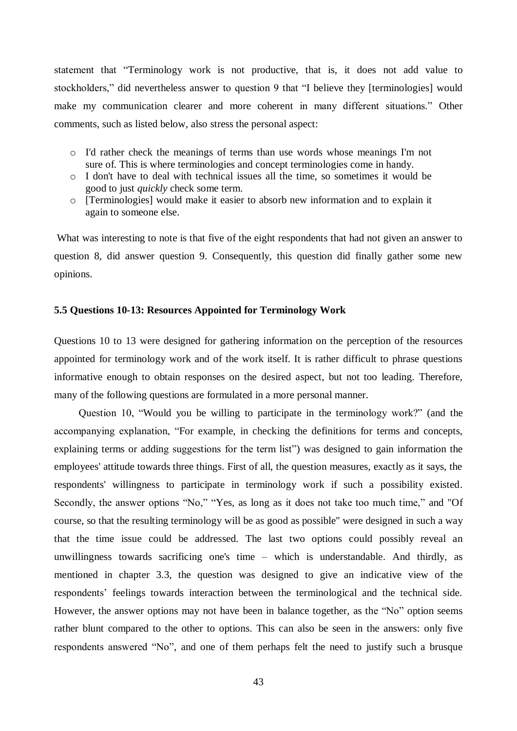statement that "Terminology work is not productive, that is, it does not add value to stockholders," did nevertheless answer to question 9 that "I believe they [terminologies] would make my communication clearer and more coherent in many different situations." Other comments, such as listed below, also stress the personal aspect:

- o I'd rather check the meanings of terms than use words whose meanings I'm not sure of. This is where terminologies and concept terminologies come in handy.
- o I don't have to deal with technical issues all the time, so sometimes it would be good to just *quickly* check some term.
- o [Terminologies] would make it easier to absorb new information and to explain it again to someone else.

What was interesting to note is that five of the eight respondents that had not given an answer to question 8, did answer question 9. Consequently, this question did finally gather some new opinions.

# <span id="page-45-0"></span>**5.5 Questions 10-13: Resources Appointed for Terminology Work**

Questions 10 to 13 were designed for gathering information on the perception of the resources appointed for terminology work and of the work itself. It is rather difficult to phrase questions informative enough to obtain responses on the desired aspect, but not too leading. Therefore, many of the following questions are formulated in a more personal manner.

Question 10, "Would you be willing to participate in the terminology work?" (and the accompanying explanation, "For example, in checking the definitions for terms and concepts, explaining terms or adding suggestions for the term list") was designed to gain information the employees' attitude towards three things. First of all, the question measures, exactly as it says, the respondents' willingness to participate in terminology work if such a possibility existed. Secondly, the answer options "No," "Yes, as long as it does not take too much time," and "Of course, so that the resulting terminology will be as good as possible" were designed in such a way that the time issue could be addressed. The last two options could possibly reveal an unwillingness towards sacrificing one's time – which is understandable. And thirdly, as mentioned in chapter 3.3, the question was designed to give an indicative view of the respondents' feelings towards interaction between the terminological and the technical side. However, the answer options may not have been in balance together, as the "No" option seems rather blunt compared to the other to options. This can also be seen in the answers: only five respondents answered "No", and one of them perhaps felt the need to justify such a brusque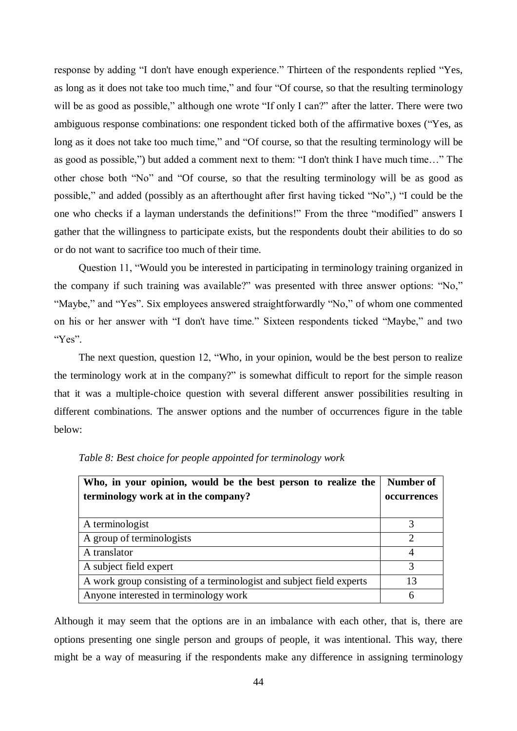response by adding "I don't have enough experience." Thirteen of the respondents replied "Yes, as long as it does not take too much time," and four "Of course, so that the resulting terminology will be as good as possible," although one wrote "If only I can?" after the latter. There were two ambiguous response combinations: one respondent ticked both of the affirmative boxes ("Yes, as long as it does not take too much time," and "Of course, so that the resulting terminology will be as good as possible,") but added a comment next to them: "I don't think I have much time…" The other chose both "No" and "Of course, so that the resulting terminology will be as good as possible," and added (possibly as an afterthought after first having ticked "No",) "I could be the one who checks if a layman understands the definitions!" From the three "modified" answers I gather that the willingness to participate exists, but the respondents doubt their abilities to do so or do not want to sacrifice too much of their time.

Question 11, "Would you be interested in participating in terminology training organized in the company if such training was available?" was presented with three answer options: "No," "Maybe," and "Yes". Six employees answered straightforwardly "No," of whom one commented on his or her answer with "I don't have time." Sixteen respondents ticked "Maybe," and two "Yes".

The next question, question 12, "Who, in your opinion, would be the best person to realize the terminology work at in the company?" is somewhat difficult to report for the simple reason that it was a multiple-choice question with several different answer possibilities resulting in different combinations. The answer options and the number of occurrences figure in the table below:

| Who, in your opinion, would be the best person to realize the        | <b>Number of</b> |
|----------------------------------------------------------------------|------------------|
| terminology work at in the company?                                  | occurrences      |
|                                                                      |                  |
| A terminologist                                                      |                  |
| A group of terminologists                                            | $\mathcal{D}$    |
| A translator                                                         | 4                |
| A subject field expert                                               | 3                |
| A work group consisting of a terminologist and subject field experts | 13               |
| Anyone interested in terminology work                                | 6                |

*Table 8: Best choice for people appointed for terminology work*

Although it may seem that the options are in an imbalance with each other, that is, there are options presenting one single person and groups of people, it was intentional. This way, there might be a way of measuring if the respondents make any difference in assigning terminology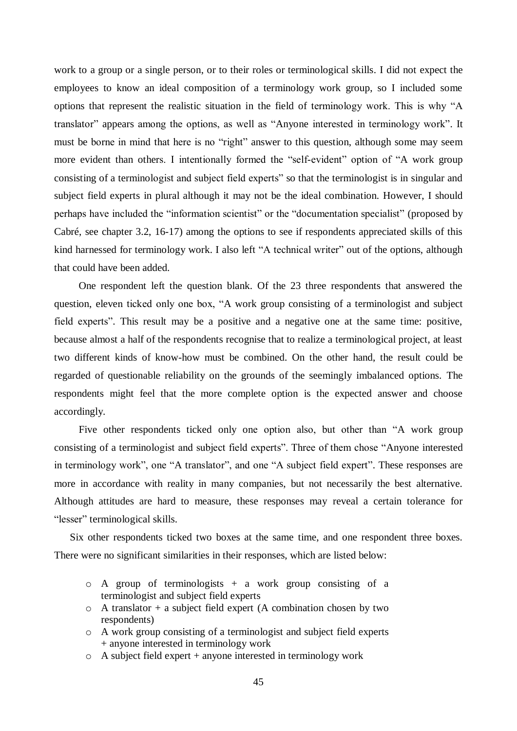work to a group or a single person, or to their roles or terminological skills. I did not expect the employees to know an ideal composition of a terminology work group, so I included some options that represent the realistic situation in the field of terminology work. This is why "A translator" appears among the options, as well as "Anyone interested in terminology work". It must be borne in mind that here is no "right" answer to this question, although some may seem more evident than others. I intentionally formed the "self-evident" option of "A work group consisting of a terminologist and subject field experts" so that the terminologist is in singular and subject field experts in plural although it may not be the ideal combination. However, I should perhaps have included the "information scientist" or the "documentation specialist" (proposed by Cabré, see chapter 3.2, 16-17) among the options to see if respondents appreciated skills of this kind harnessed for terminology work. I also left "A technical writer" out of the options, although that could have been added.

One respondent left the question blank. Of the 23 three respondents that answered the question, eleven ticked only one box, "A work group consisting of a terminologist and subject field experts". This result may be a positive and a negative one at the same time: positive, because almost a half of the respondents recognise that to realize a terminological project, at least two different kinds of know-how must be combined. On the other hand, the result could be regarded of questionable reliability on the grounds of the seemingly imbalanced options. The respondents might feel that the more complete option is the expected answer and choose accordingly.

Five other respondents ticked only one option also, but other than "A work group consisting of a terminologist and subject field experts". Three of them chose "Anyone interested in terminology work", one "A translator", and one "A subject field expert". These responses are more in accordance with reality in many companies, but not necessarily the best alternative. Although attitudes are hard to measure, these responses may reveal a certain tolerance for "lesser" terminological skills.

Six other respondents ticked two boxes at the same time, and one respondent three boxes. There were no significant similarities in their responses, which are listed below:

- $\circ$  A group of terminologists + a work group consisting of a terminologist and subject field experts
- $\circ$  A translator + a subject field expert (A combination chosen by two respondents)
- o A work group consisting of a terminologist and subject field experts + anyone interested in terminology work
- o A subject field expert + anyone interested in terminology work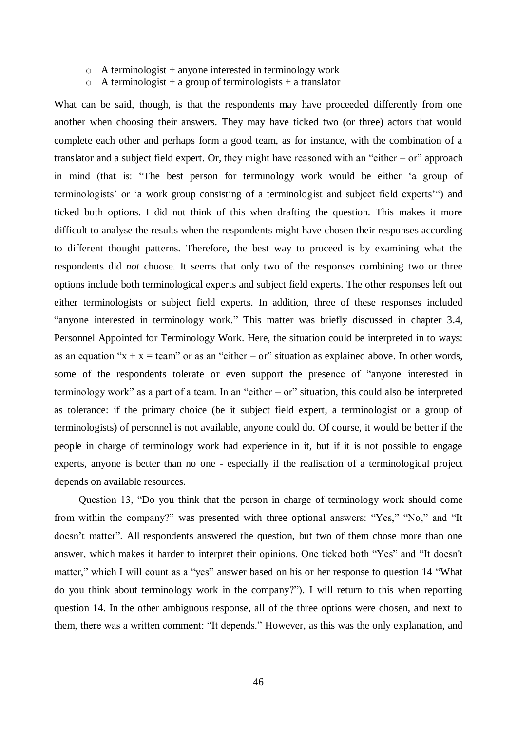- o A terminologist + anyone interested in terminology work
- $\circ$  A terminologist + a group of terminologists + a translator

What can be said, though, is that the respondents may have proceeded differently from one another when choosing their answers. They may have ticked two (or three) actors that would complete each other and perhaps form a good team, as for instance, with the combination of a translator and a subject field expert. Or, they might have reasoned with an "either – or" approach in mind (that is: "The best person for terminology work would be either 'a group of terminologists' or 'a work group consisting of a terminologist and subject field experts'") and ticked both options. I did not think of this when drafting the question. This makes it more difficult to analyse the results when the respondents might have chosen their responses according to different thought patterns. Therefore, the best way to proceed is by examining what the respondents did *not* choose. It seems that only two of the responses combining two or three options include both terminological experts and subject field experts. The other responses left out either terminologists or subject field experts. In addition, three of these responses included "anyone interested in terminology work." This matter was briefly discussed in chapter 3.4, Personnel Appointed for Terminology Work. Here, the situation could be interpreted in to ways: as an equation " $x + x = \text{team}$ " or as an "either – or" situation as explained above. In other words, some of the respondents tolerate or even support the presence of "anyone interested in terminology work" as a part of a team. In an "either – or" situation, this could also be interpreted as tolerance: if the primary choice (be it subject field expert, a terminologist or a group of terminologists) of personnel is not available, anyone could do. Of course, it would be better if the people in charge of terminology work had experience in it, but if it is not possible to engage experts, anyone is better than no one - especially if the realisation of a terminological project depends on available resources.

Question 13, "Do you think that the person in charge of terminology work should come from within the company?" was presented with three optional answers: "Yes," "No," and "It doesn't matter". All respondents answered the question, but two of them chose more than one answer, which makes it harder to interpret their opinions. One ticked both "Yes" and "It doesn't matter," which I will count as a "yes" answer based on his or her response to question 14 "What do you think about terminology work in the company?"). I will return to this when reporting question 14. In the other ambiguous response, all of the three options were chosen, and next to them, there was a written comment: "It depends." However, as this was the only explanation, and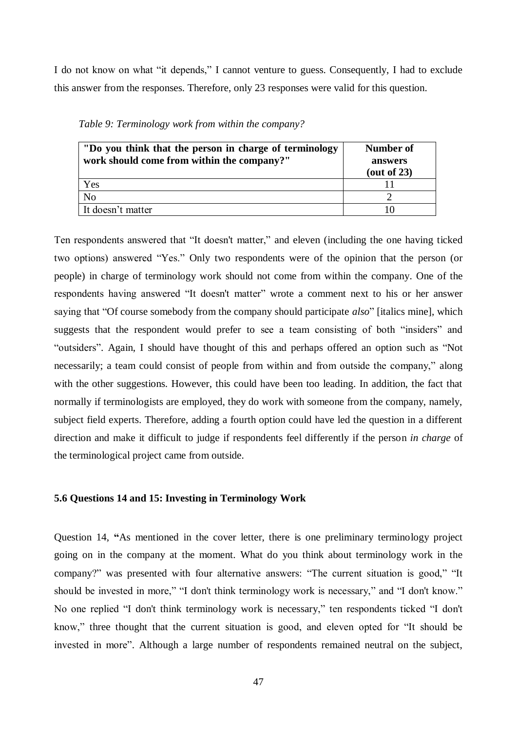I do not know on what "it depends," I cannot venture to guess. Consequently, I had to exclude this answer from the responses. Therefore, only 23 responses were valid for this question.

| "Do you think that the person in charge of terminology<br>work should come from within the company?" | <b>Number of</b><br>answers<br>(out of $23$ ) |
|------------------------------------------------------------------------------------------------------|-----------------------------------------------|
| Yes                                                                                                  |                                               |
| N <sub>o</sub>                                                                                       |                                               |
| It doesn't matter                                                                                    |                                               |

*Table 9: Terminology work from within the company?*

Ten respondents answered that "It doesn't matter," and eleven (including the one having ticked two options) answered "Yes." Only two respondents were of the opinion that the person (or people) in charge of terminology work should not come from within the company. One of the respondents having answered "It doesn't matter" wrote a comment next to his or her answer saying that "Of course somebody from the company should participate *also*" [italics mine], which suggests that the respondent would prefer to see a team consisting of both "insiders" and "outsiders". Again, I should have thought of this and perhaps offered an option such as "Not necessarily; a team could consist of people from within and from outside the company," along with the other suggestions. However, this could have been too leading. In addition, the fact that normally if terminologists are employed, they do work with someone from the company, namely, subject field experts. Therefore, adding a fourth option could have led the question in a different direction and make it difficult to judge if respondents feel differently if the person *in charge* of the terminological project came from outside.

#### <span id="page-49-0"></span>**5.6 Questions 14 and 15: Investing in Terminology Work**

Question 14, **"**As mentioned in the cover letter, there is one preliminary terminology project going on in the company at the moment. What do you think about terminology work in the company?" was presented with four alternative answers: "The current situation is good," "It should be invested in more," "I don't think terminology work is necessary," and "I don't know." No one replied "I don't think terminology work is necessary," ten respondents ticked "I don't know," three thought that the current situation is good, and eleven opted for "It should be invested in more". Although a large number of respondents remained neutral on the subject,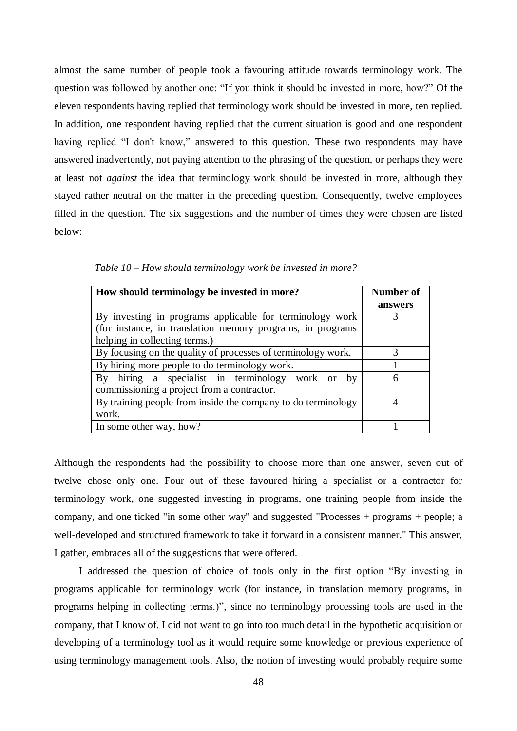almost the same number of people took a favouring attitude towards terminology work. The question was followed by another one: "If you think it should be invested in more, how?" Of the eleven respondents having replied that terminology work should be invested in more, ten replied. In addition, one respondent having replied that the current situation is good and one respondent having replied "I don't know," answered to this question. These two respondents may have answered inadvertently, not paying attention to the phrasing of the question, or perhaps they were at least not *against* the idea that terminology work should be invested in more, although they stayed rather neutral on the matter in the preceding question. Consequently, twelve employees filled in the question. The six suggestions and the number of times they were chosen are listed below:

| How should terminology be invested in more?                          | Number of<br>answers |
|----------------------------------------------------------------------|----------------------|
| By investing in programs applicable for terminology work             | 3                    |
| (for instance, in translation memory programs, in programs)          |                      |
| helping in collecting terms.)                                        |                      |
| By focusing on the quality of processes of terminology work.         | 3                    |
| By hiring more people to do terminology work.                        |                      |
| hiring a specialist in terminology work<br>By<br>bv<br><sub>or</sub> | 6                    |
| commissioning a project from a contractor.                           |                      |
| By training people from inside the company to do terminology         |                      |
| work.                                                                |                      |
| In some other way, how?                                              |                      |

 *Table 10 – How should terminology work be invested in more?*

Although the respondents had the possibility to choose more than one answer, seven out of twelve chose only one. Four out of these favoured hiring a specialist or a contractor for terminology work, one suggested investing in programs, one training people from inside the company, and one ticked "in some other way" and suggested "Processes + programs + people; a well-developed and structured framework to take it forward in a consistent manner." This answer, I gather, embraces all of the suggestions that were offered.

I addressed the question of choice of tools only in the first option "By investing in programs applicable for terminology work (for instance, in translation memory programs, in programs helping in collecting terms.)", since no terminology processing tools are used in the company, that I know of. I did not want to go into too much detail in the hypothetic acquisition or developing of a terminology tool as it would require some knowledge or previous experience of using terminology management tools. Also, the notion of investing would probably require some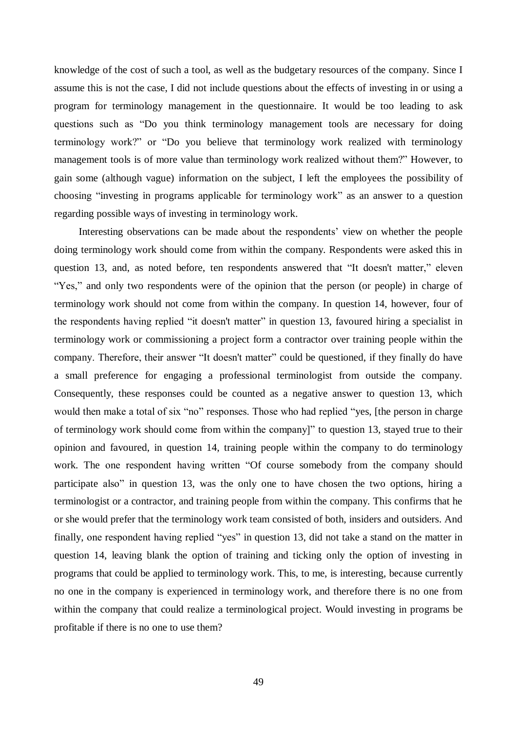knowledge of the cost of such a tool, as well as the budgetary resources of the company. Since I assume this is not the case, I did not include questions about the effects of investing in or using a program for terminology management in the questionnaire. It would be too leading to ask questions such as "Do you think terminology management tools are necessary for doing terminology work?" or "Do you believe that terminology work realized with terminology management tools is of more value than terminology work realized without them?" However, to gain some (although vague) information on the subject, I left the employees the possibility of choosing "investing in programs applicable for terminology work" as an answer to a question regarding possible ways of investing in terminology work.

Interesting observations can be made about the respondents' view on whether the people doing terminology work should come from within the company. Respondents were asked this in question 13, and, as noted before, ten respondents answered that "It doesn't matter," eleven "Yes," and only two respondents were of the opinion that the person (or people) in charge of terminology work should not come from within the company. In question 14, however, four of the respondents having replied "it doesn't matter" in question 13, favoured hiring a specialist in terminology work or commissioning a project form a contractor over training people within the company. Therefore, their answer "It doesn't matter" could be questioned, if they finally do have a small preference for engaging a professional terminologist from outside the company. Consequently, these responses could be counted as a negative answer to question 13, which would then make a total of six "no" responses. Those who had replied "yes, [the person in charge of terminology work should come from within the company]" to question 13, stayed true to their opinion and favoured, in question 14, training people within the company to do terminology work. The one respondent having written "Of course somebody from the company should participate also" in question 13, was the only one to have chosen the two options, hiring a terminologist or a contractor, and training people from within the company. This confirms that he or she would prefer that the terminology work team consisted of both, insiders and outsiders. And finally, one respondent having replied "yes" in question 13, did not take a stand on the matter in question 14, leaving blank the option of training and ticking only the option of investing in programs that could be applied to terminology work. This, to me, is interesting, because currently no one in the company is experienced in terminology work, and therefore there is no one from within the company that could realize a terminological project. Would investing in programs be profitable if there is no one to use them?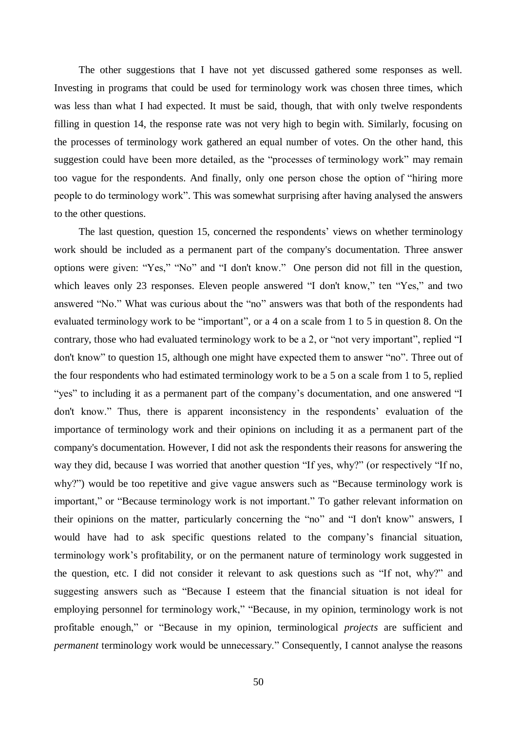The other suggestions that I have not yet discussed gathered some responses as well. Investing in programs that could be used for terminology work was chosen three times, which was less than what I had expected. It must be said, though, that with only twelve respondents filling in question 14, the response rate was not very high to begin with. Similarly, focusing on the processes of terminology work gathered an equal number of votes. On the other hand, this suggestion could have been more detailed, as the "processes of terminology work" may remain too vague for the respondents. And finally, only one person chose the option of "hiring more people to do terminology work". This was somewhat surprising after having analysed the answers to the other questions.

The last question, question 15, concerned the respondents' views on whether terminology work should be included as a permanent part of the company's documentation. Three answer options were given: "Yes," "No" and "I don't know." One person did not fill in the question, which leaves only 23 responses. Eleven people answered "I don't know," ten "Yes," and two answered "No." What was curious about the "no" answers was that both of the respondents had evaluated terminology work to be "important", or a 4 on a scale from 1 to 5 in question 8. On the contrary, those who had evaluated terminology work to be a 2, or "not very important", replied "I don't know" to question 15, although one might have expected them to answer "no". Three out of the four respondents who had estimated terminology work to be a 5 on a scale from 1 to 5, replied "yes" to including it as a permanent part of the company's documentation, and one answered "I don't know." Thus, there is apparent inconsistency in the respondents' evaluation of the importance of terminology work and their opinions on including it as a permanent part of the company's documentation. However, I did not ask the respondents their reasons for answering the way they did, because I was worried that another question "If yes, why?" (or respectively "If no, why?") would be too repetitive and give vague answers such as "Because terminology work is important," or "Because terminology work is not important." To gather relevant information on their opinions on the matter, particularly concerning the "no" and "I don't know" answers, I would have had to ask specific questions related to the company's financial situation, terminology work's profitability, or on the permanent nature of terminology work suggested in the question, etc. I did not consider it relevant to ask questions such as "If not, why?" and suggesting answers such as "Because I esteem that the financial situation is not ideal for employing personnel for terminology work," "Because, in my opinion, terminology work is not profitable enough," or "Because in my opinion, terminological *projects* are sufficient and *permanent* terminology work would be unnecessary." Consequently, I cannot analyse the reasons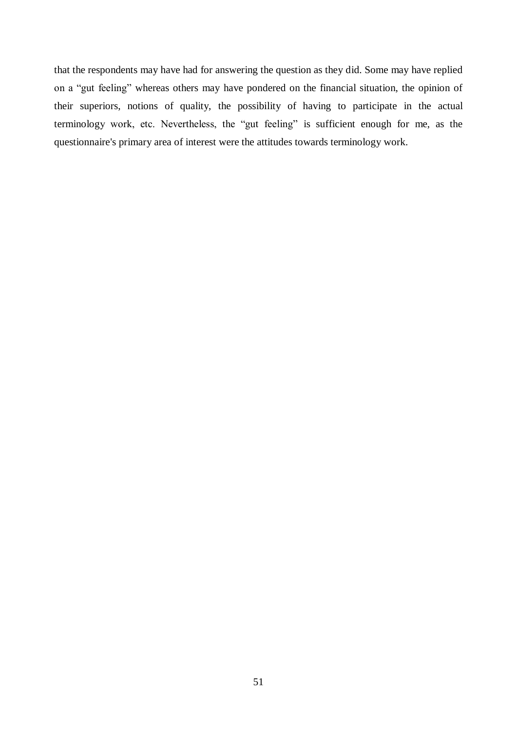that the respondents may have had for answering the question as they did. Some may have replied on a "gut feeling" whereas others may have pondered on the financial situation, the opinion of their superiors, notions of quality, the possibility of having to participate in the actual terminology work, etc. Nevertheless, the "gut feeling" is sufficient enough for me, as the questionnaire's primary area of interest were the attitudes towards terminology work.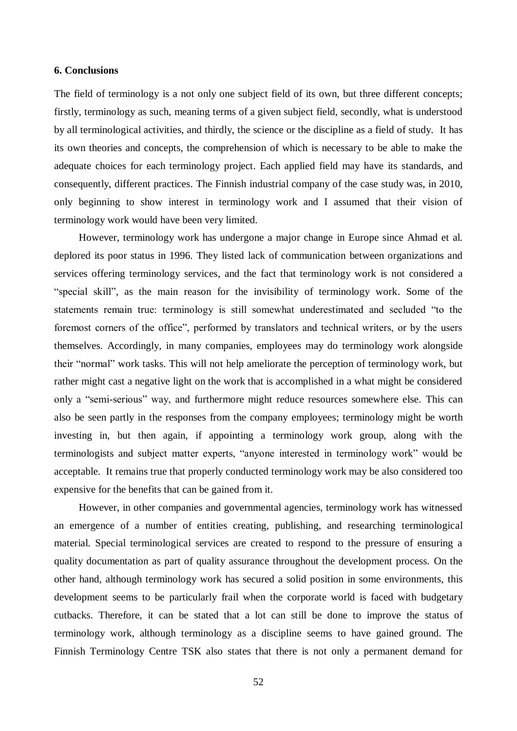#### <span id="page-54-0"></span>**6. Conclusions**

The field of terminology is a not only one subject field of its own, but three different concepts; firstly, terminology as such, meaning terms of a given subject field, secondly, what is understood by all terminological activities, and thirdly, the science or the discipline as a field of study. It has its own theories and concepts, the comprehension of which is necessary to be able to make the adequate choices for each terminology project. Each applied field may have its standards, and consequently, different practices. The Finnish industrial company of the case study was, in 2010, only beginning to show interest in terminology work and I assumed that their vision of terminology work would have been very limited.

However, terminology work has undergone a major change in Europe since Ahmad et al. deplored its poor status in 1996. They listed lack of communication between organizations and services offering terminology services, and the fact that terminology work is not considered a "special skill", as the main reason for the invisibility of terminology work. Some of the statements remain true: terminology is still somewhat underestimated and secluded "to the foremost corners of the office", performed by translators and technical writers, or by the users themselves. Accordingly, in many companies, employees may do terminology work alongside their "normal" work tasks. This will not help ameliorate the perception of terminology work, but rather might cast a negative light on the work that is accomplished in a what might be considered only a "semi-serious" way, and furthermore might reduce resources somewhere else. This can also be seen partly in the responses from the company employees; terminology might be worth investing in, but then again, if appointing a terminology work group, along with the terminologists and subject matter experts, "anyone interested in terminology work" would be acceptable. It remains true that properly conducted terminology work may be also considered too expensive for the benefits that can be gained from it.

However, in other companies and governmental agencies, terminology work has witnessed an emergence of a number of entities creating, publishing, and researching terminological material. Special terminological services are created to respond to the pressure of ensuring a quality documentation as part of quality assurance throughout the development process. On the other hand, although terminology work has secured a solid position in some environments, this development seems to be particularly frail when the corporate world is faced with budgetary cutbacks. Therefore, it can be stated that a lot can still be done to improve the status of terminology work, although terminology as a discipline seems to have gained ground. The Finnish Terminology Centre TSK also states that there is not only a permanent demand for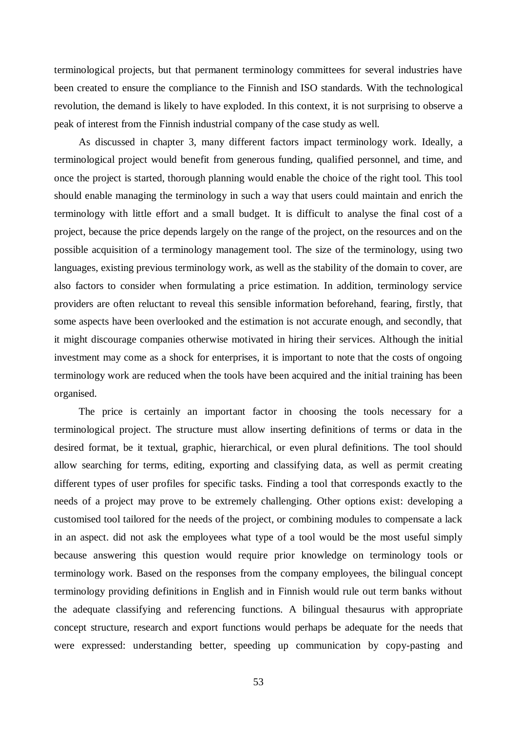terminological projects, but that permanent terminology committees for several industries have been created to ensure the compliance to the Finnish and ISO standards. With the technological revolution, the demand is likely to have exploded. In this context, it is not surprising to observe a peak of interest from the Finnish industrial company of the case study as well.

As discussed in chapter 3, many different factors impact terminology work. Ideally, a terminological project would benefit from generous funding, qualified personnel, and time, and once the project is started, thorough planning would enable the choice of the right tool. This tool should enable managing the terminology in such a way that users could maintain and enrich the terminology with little effort and a small budget. It is difficult to analyse the final cost of a project, because the price depends largely on the range of the project, on the resources and on the possible acquisition of a terminology management tool. The size of the terminology, using two languages, existing previous terminology work, as well as the stability of the domain to cover, are also factors to consider when formulating a price estimation. In addition, terminology service providers are often reluctant to reveal this sensible information beforehand, fearing, firstly, that some aspects have been overlooked and the estimation is not accurate enough, and secondly, that it might discourage companies otherwise motivated in hiring their services. Although the initial investment may come as a shock for enterprises, it is important to note that the costs of ongoing terminology work are reduced when the tools have been acquired and the initial training has been organised.

The price is certainly an important factor in choosing the tools necessary for a terminological project. The structure must allow inserting definitions of terms or data in the desired format, be it textual, graphic, hierarchical, or even plural definitions. The tool should allow searching for terms, editing, exporting and classifying data, as well as permit creating different types of user profiles for specific tasks. Finding a tool that corresponds exactly to the needs of a project may prove to be extremely challenging. Other options exist: developing a customised tool tailored for the needs of the project, or combining modules to compensate a lack in an aspect. did not ask the employees what type of a tool would be the most useful simply because answering this question would require prior knowledge on terminology tools or terminology work. Based on the responses from the company employees, the bilingual concept terminology providing definitions in English and in Finnish would rule out term banks without the adequate classifying and referencing functions. A bilingual thesaurus with appropriate concept structure, research and export functions would perhaps be adequate for the needs that were expressed: understanding better, speeding up communication by copy-pasting and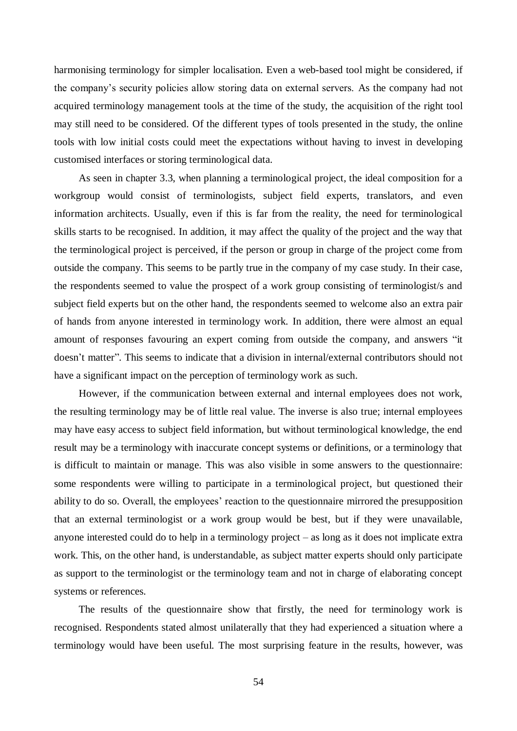harmonising terminology for simpler localisation. Even a web-based tool might be considered, if the company's security policies allow storing data on external servers. As the company had not acquired terminology management tools at the time of the study, the acquisition of the right tool may still need to be considered. Of the different types of tools presented in the study, the online tools with low initial costs could meet the expectations without having to invest in developing customised interfaces or storing terminological data.

As seen in chapter 3.3, when planning a terminological project, the ideal composition for a workgroup would consist of terminologists, subject field experts, translators, and even information architects. Usually, even if this is far from the reality, the need for terminological skills starts to be recognised. In addition, it may affect the quality of the project and the way that the terminological project is perceived, if the person or group in charge of the project come from outside the company. This seems to be partly true in the company of my case study. In their case, the respondents seemed to value the prospect of a work group consisting of terminologist/s and subject field experts but on the other hand, the respondents seemed to welcome also an extra pair of hands from anyone interested in terminology work. In addition, there were almost an equal amount of responses favouring an expert coming from outside the company, and answers "it doesn't matter". This seems to indicate that a division in internal/external contributors should not have a significant impact on the perception of terminology work as such.

However, if the communication between external and internal employees does not work, the resulting terminology may be of little real value. The inverse is also true; internal employees may have easy access to subject field information, but without terminological knowledge, the end result may be a terminology with inaccurate concept systems or definitions, or a terminology that is difficult to maintain or manage. This was also visible in some answers to the questionnaire: some respondents were willing to participate in a terminological project, but questioned their ability to do so. Overall, the employees' reaction to the questionnaire mirrored the presupposition that an external terminologist or a work group would be best, but if they were unavailable, anyone interested could do to help in a terminology project – as long as it does not implicate extra work. This, on the other hand, is understandable, as subject matter experts should only participate as support to the terminologist or the terminology team and not in charge of elaborating concept systems or references.

The results of the questionnaire show that firstly, the need for terminology work is recognised. Respondents stated almost unilaterally that they had experienced a situation where a terminology would have been useful. The most surprising feature in the results, however, was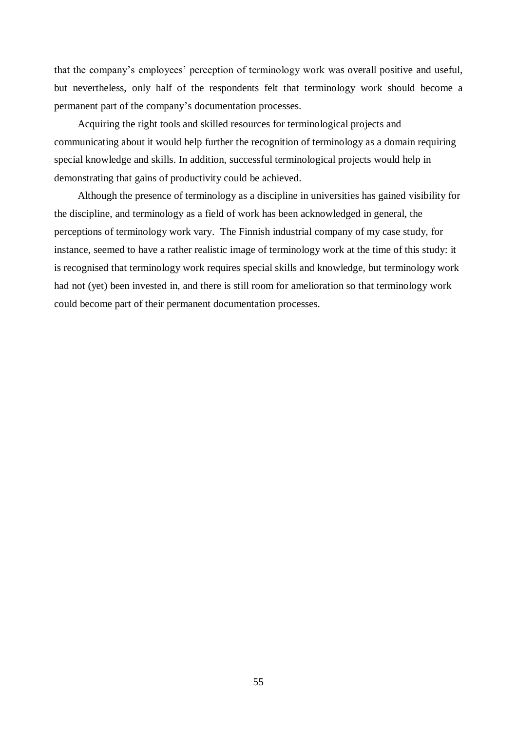that the company's employees' perception of terminology work was overall positive and useful, but nevertheless, only half of the respondents felt that terminology work should become a permanent part of the company's documentation processes.

Acquiring the right tools and skilled resources for terminological projects and communicating about it would help further the recognition of terminology as a domain requiring special knowledge and skills. In addition, successful terminological projects would help in demonstrating that gains of productivity could be achieved.

Although the presence of terminology as a discipline in universities has gained visibility for the discipline, and terminology as a field of work has been acknowledged in general, the perceptions of terminology work vary. The Finnish industrial company of my case study, for instance, seemed to have a rather realistic image of terminology work at the time of this study: it is recognised that terminology work requires special skills and knowledge, but terminology work had not (yet) been invested in, and there is still room for amelioration so that terminology work could become part of their permanent documentation processes.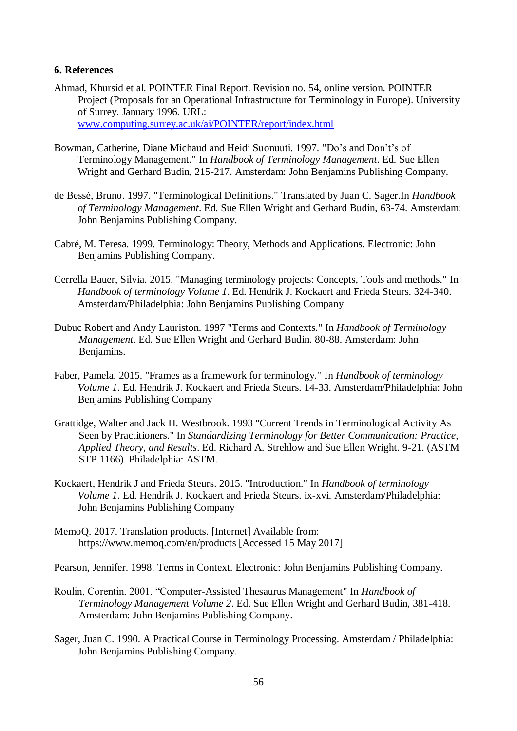#### <span id="page-58-0"></span>**6. References**

- Ahmad, Khursid et al. POINTER Final Report. Revision no. 54, online version. POINTER Project (Proposals for an Operational Infrastructure for Terminology in Europe). University of Surrey. January 1996. URL: [www.computing.surrey.ac.uk/ai/POINTER/report/index.html](http://www.computing.surrey.ac.uk/ai/pointer/report/index.html)
- Bowman, Catherine, Diane Michaud and Heidi Suonuuti. 1997. "Do's and Don't's of Terminology Management." In *Handbook of Terminology Management*. Ed. Sue Ellen Wright and Gerhard Budin, 215-217. Amsterdam: John Benjamins Publishing Company.
- de Bessé, Bruno. 1997. "Terminological Definitions." Translated by Juan C. Sager.In *Handbook of Terminology Management*. Ed. Sue Ellen Wright and Gerhard Budin, 63-74. Amsterdam: John Benjamins Publishing Company.
- Cabré, M. Teresa. 1999. Terminology: Theory, Methods and Applications. Electronic: John Benjamins Publishing Company.
- Cerrella Bauer, Silvia. 2015. "Managing terminology projects: Concepts, Tools and methods." In *Handbook of terminology Volume 1*. Ed. Hendrik J. Kockaert and Frieda Steurs. 324-340. Amsterdam/Philadelphia: John Benjamins Publishing Company
- Dubuc Robert and Andy Lauriston. 1997 "Terms and Contexts." In *Handbook of Terminology Management*. Ed. Sue Ellen Wright and Gerhard Budin. 80-88. Amsterdam: John Benjamins.
- Faber, Pamela. 2015. "Frames as a framework for terminology." In *Handbook of terminology Volume 1*. Ed. Hendrik J. Kockaert and Frieda Steurs. 14-33. Amsterdam/Philadelphia: John Benjamins Publishing Company
- Grattidge, Walter and Jack H. Westbrook. 1993 "Current Trends in Terminological Activity As Seen by Practitioners." In *Standardizing Terminology for Better Communication: Practice, Applied Theory, and Results*. Ed. Richard A. Strehlow and Sue Ellen Wright. 9-21. (ASTM STP 1166). Philadelphia: ASTM.
- Kockaert, Hendrik J and Frieda Steurs. 2015. "Introduction." In *Handbook of terminology Volume 1*. Ed. Hendrik J. Kockaert and Frieda Steurs. ix-xvi. Amsterdam/Philadelphia: John Benjamins Publishing Company
- MemoQ. 2017. Translation products. [Internet] Available from: https://www.memoq.com/en/products [Accessed 15 May 2017]

Pearson, Jennifer. 1998. Terms in Context. Electronic: John Benjamins Publishing Company.

- Roulin, Corentin. 2001. "Computer-Assisted Thesaurus Management" In *Handbook of Terminology Management Volume 2*. Ed. Sue Ellen Wright and Gerhard Budin, 381-418. Amsterdam: John Benjamins Publishing Company.
- Sager, Juan C. 1990. A Practical Course in Terminology Processing. Amsterdam / Philadelphia: John Benjamins Publishing Company.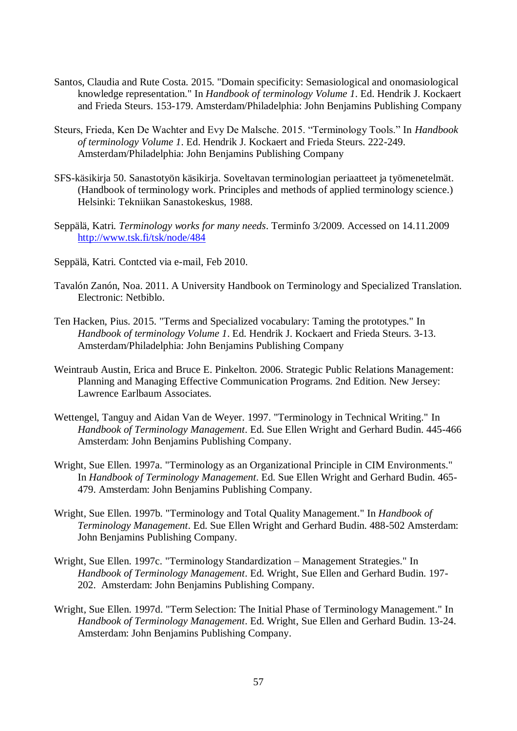- Santos, Claudia and Rute Costa. 2015. "Domain specificity: Semasiological and onomasiological knowledge representation." In *Handbook of terminology Volume 1*. Ed. Hendrik J. Kockaert and Frieda Steurs. 153-179. Amsterdam/Philadelphia: John Benjamins Publishing Company
- Steurs, Frieda, Ken De Wachter and Evy De Malsche. 2015. "Terminology Tools." In *Handbook of terminology Volume 1*. Ed. Hendrik J. Kockaert and Frieda Steurs. 222-249. Amsterdam/Philadelphia: John Benjamins Publishing Company
- SFS-käsikirja 50. Sanastotyön käsikirja. Soveltavan terminologian periaatteet ja työmenetelmät. (Handbook of terminology work. Principles and methods of applied terminology science.) Helsinki: Tekniikan Sanastokeskus, 1988.
- Seppälä, Katri. *Terminology works for many needs*. Terminfo 3/2009. Accessed on 14.11.2009 <http://www.tsk.fi/tsk/node/484>
- Seppälä, Katri. Contcted via e-mail, Feb 2010.
- Tavalón Zanón, Noa. 2011. A University Handbook on Terminology and Specialized Translation. Electronic: Netbiblo.
- Ten Hacken, Pius. 2015. "Terms and Specialized vocabulary: Taming the prototypes." In *Handbook of terminology Volume 1*. Ed. Hendrik J. Kockaert and Frieda Steurs. 3-13. Amsterdam/Philadelphia: John Benjamins Publishing Company
- Weintraub Austin, Erica and Bruce E. Pinkelton. 2006. Strategic Public Relations Management: Planning and Managing Effective Communication Programs. 2nd Edition. New Jersey: Lawrence Earlbaum Associates.
- Wettengel, Tanguy and Aidan Van de Weyer. 1997. "Terminology in Technical Writing." In *Handbook of Terminology Management*. Ed. Sue Ellen Wright and Gerhard Budin. 445-466 Amsterdam: John Benjamins Publishing Company.
- Wright, Sue Ellen. 1997a. "Terminology as an Organizational Principle in CIM Environments." In *Handbook of Terminology Management*. Ed. Sue Ellen Wright and Gerhard Budin. 465- 479. Amsterdam: John Benjamins Publishing Company.
- Wright, Sue Ellen. 1997b. "Terminology and Total Quality Management." In *Handbook of Terminology Management*. Ed. Sue Ellen Wright and Gerhard Budin. 488-502 Amsterdam: John Benjamins Publishing Company.
- Wright, Sue Ellen. 1997c. "Terminology Standardization Management Strategies." In *Handbook of Terminology Management*. Ed. Wright, Sue Ellen and Gerhard Budin. 197- 202. Amsterdam: John Benjamins Publishing Company.
- Wright, Sue Ellen. 1997d. "Term Selection: The Initial Phase of Terminology Management." In *Handbook of Terminology Management*. Ed. Wright, Sue Ellen and Gerhard Budin. 13-24. Amsterdam: John Benjamins Publishing Company.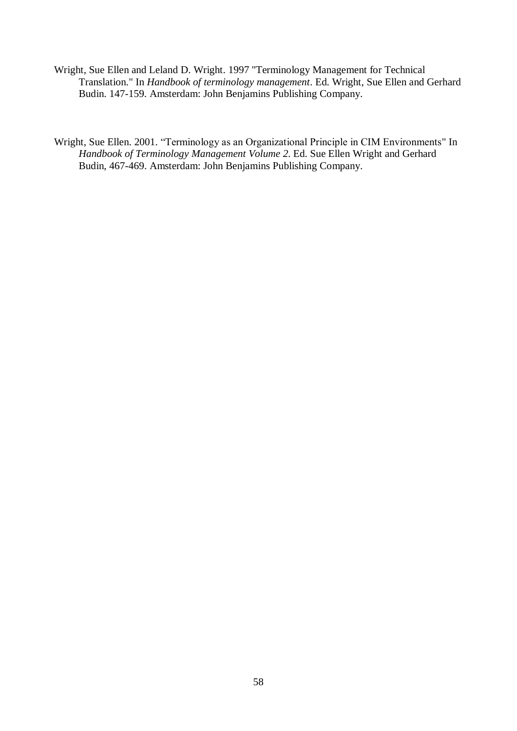- Wright, Sue Ellen and Leland D. Wright. 1997 "Terminology Management for Technical Translation." In *Handbook of terminology management*. Ed. Wright, Sue Ellen and Gerhard Budin. 147-159. Amsterdam: John Benjamins Publishing Company.
- Wright, Sue Ellen. 2001. "Terminology as an Organizational Principle in CIM Environments" In *Handbook of Terminology Management Volume 2*. Ed. Sue Ellen Wright and Gerhard Budin, 467-469. Amsterdam: John Benjamins Publishing Company.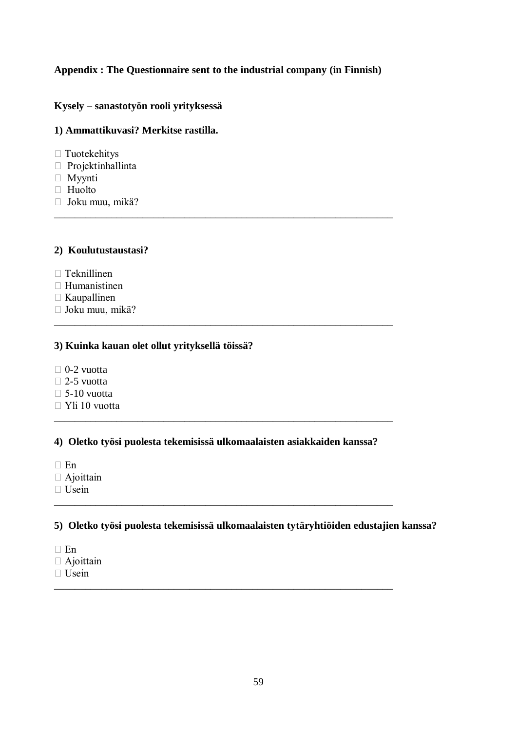# **Appendix : The Questionnaire sent to the industrial company (in Finnish)**

\_\_\_\_\_\_\_\_\_\_\_\_\_\_\_\_\_\_\_\_\_\_\_\_\_\_\_\_\_\_\_\_\_\_\_\_\_\_\_\_\_\_\_\_\_\_\_\_\_\_\_\_\_\_\_\_\_\_\_\_\_\_\_\_\_

\_\_\_\_\_\_\_\_\_\_\_\_\_\_\_\_\_\_\_\_\_\_\_\_\_\_\_\_\_\_\_\_\_\_\_\_\_\_\_\_\_\_\_\_\_\_\_\_\_\_\_\_\_\_\_\_\_\_\_\_\_\_\_\_\_

# **Kysely – sanastotyön rooli yrityksessä**

#### **1) Ammattikuvasi? Merkitse rastilla.**

- Tuotekehitys
- Projektinhallinta
- Myynti
- □ Huolto
- Joku muu, mikä?

### **2) Koulutustaustasi?**

- $\Box$  Teknillinen
- Humanistinen
- $\Box$  Kaupallinen
- Joku muu, mikä?

# **3) Kuinka kauan olet ollut yrityksellä töissä?**

- $\Box$  0-2 vuotta
- $\Box$  2-5 vuotta
- $\square$  5-10 vuotta
- Yli 10 vuotta

**4) Oletko työsi puolesta tekemisissä ulkomaalaisten asiakkaiden kanssa?**

\_\_\_\_\_\_\_\_\_\_\_\_\_\_\_\_\_\_\_\_\_\_\_\_\_\_\_\_\_\_\_\_\_\_\_\_\_\_\_\_\_\_\_\_\_\_\_\_\_\_\_\_\_\_\_\_\_\_\_\_\_\_\_\_\_

\_\_\_\_\_\_\_\_\_\_\_\_\_\_\_\_\_\_\_\_\_\_\_\_\_\_\_\_\_\_\_\_\_\_\_\_\_\_\_\_\_\_\_\_\_\_\_\_\_\_\_\_\_\_\_\_\_\_\_\_\_\_\_\_\_

\_\_\_\_\_\_\_\_\_\_\_\_\_\_\_\_\_\_\_\_\_\_\_\_\_\_\_\_\_\_\_\_\_\_\_\_\_\_\_\_\_\_\_\_\_\_\_\_\_\_\_\_\_\_\_\_\_\_\_\_\_\_\_\_\_

- $\Box$  En
- $\Box$  Ajoittain
- Usein

### **5) Oletko työsi puolesta tekemisissä ulkomaalaisten tytäryhtiöiden edustajien kanssa?**

- $\Box$  En
- $\Box$  Ajoittain
- Usein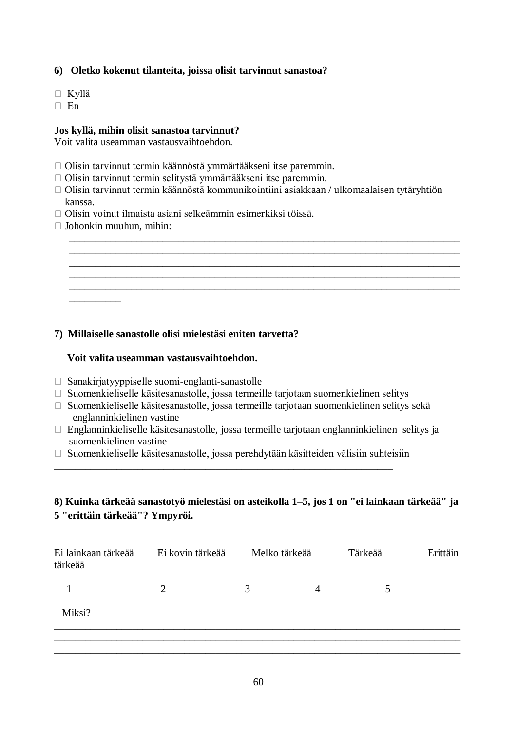# **6) Oletko kokenut tilanteita, joissa olisit tarvinnut sanastoa?**

- Kyllä
- $\Box$  En

# **Jos kyllä, mihin olisit sanastoa tarvinnut?**

Voit valita useamman vastausvaihtoehdon.

- Olisin tarvinnut termin käännöstä ymmärtääkseni itse paremmin.
- Olisin tarvinnut termin selitystä ymmärtääkseni itse paremmin.
- Olisin tarvinnut termin käännöstä kommunikointiini asiakkaan / ulkomaalaisen tytäryhtiön kanssa.

\_\_\_\_\_\_\_\_\_\_\_\_\_\_\_\_\_\_\_\_\_\_\_\_\_\_\_\_\_\_\_\_\_\_\_\_\_\_\_\_\_\_\_\_\_\_\_\_\_\_\_\_\_\_\_\_\_\_\_\_\_\_\_\_\_\_\_\_\_\_\_\_\_\_\_ \_\_\_\_\_\_\_\_\_\_\_\_\_\_\_\_\_\_\_\_\_\_\_\_\_\_\_\_\_\_\_\_\_\_\_\_\_\_\_\_\_\_\_\_\_\_\_\_\_\_\_\_\_\_\_\_\_\_\_\_\_\_\_\_\_\_\_\_\_\_\_\_\_\_\_ \_\_\_\_\_\_\_\_\_\_\_\_\_\_\_\_\_\_\_\_\_\_\_\_\_\_\_\_\_\_\_\_\_\_\_\_\_\_\_\_\_\_\_\_\_\_\_\_\_\_\_\_\_\_\_\_\_\_\_\_\_\_\_\_\_\_\_\_\_\_\_\_\_\_\_ \_\_\_\_\_\_\_\_\_\_\_\_\_\_\_\_\_\_\_\_\_\_\_\_\_\_\_\_\_\_\_\_\_\_\_\_\_\_\_\_\_\_\_\_\_\_\_\_\_\_\_\_\_\_\_\_\_\_\_\_\_\_\_\_\_\_\_\_\_\_\_\_\_\_\_ \_\_\_\_\_\_\_\_\_\_\_\_\_\_\_\_\_\_\_\_\_\_\_\_\_\_\_\_\_\_\_\_\_\_\_\_\_\_\_\_\_\_\_\_\_\_\_\_\_\_\_\_\_\_\_\_\_\_\_\_\_\_\_\_\_\_\_\_\_\_\_\_\_\_\_

- Olisin voinut ilmaista asiani selkeämmin esimerkiksi töissä.
- $\Box$  Johonkin muuhun, mihin:

 $\overline{\phantom{a}}$  ,  $\overline{\phantom{a}}$  ,  $\overline{\phantom{a}}$  ,  $\overline{\phantom{a}}$  ,  $\overline{\phantom{a}}$  ,  $\overline{\phantom{a}}$  ,  $\overline{\phantom{a}}$  ,  $\overline{\phantom{a}}$  ,  $\overline{\phantom{a}}$  ,  $\overline{\phantom{a}}$  ,  $\overline{\phantom{a}}$  ,  $\overline{\phantom{a}}$  ,  $\overline{\phantom{a}}$  ,  $\overline{\phantom{a}}$  ,  $\overline{\phantom{a}}$  ,  $\overline{\phantom{a}}$ 

# **7) Millaiselle sanastolle olisi mielestäsi eniten tarvetta?**

# **Voit valita useamman vastausvaihtoehdon.**

- $\Box$  Sanakirjatyyppiselle suomi-englanti-sanastolle
- Suomenkieliselle käsitesanastolle, jossa termeille tarjotaan suomenkielinen selitys
- Suomenkieliselle käsitesanastolle, jossa termeille tarjotaan suomenkielinen selitys sekä englanninkielinen vastine
- Englanninkieliselle käsitesanastolle, jossa termeille tarjotaan englanninkielinen selitys ja suomenkielinen vastine
- $\Box$  Suomenkieliselle käsitesanastolle, jossa perehdytään käsitteiden välisiin suhteisiin

\_\_\_\_\_\_\_\_\_\_\_\_\_\_\_\_\_\_\_\_\_\_\_\_\_\_\_\_\_\_\_\_\_\_\_\_\_\_\_\_\_\_\_\_\_\_\_\_\_\_\_\_\_\_\_\_\_\_\_\_\_\_\_\_\_

# **8) Kuinka tärkeää sanastotyö mielestäsi on asteikolla 1–5, jos 1 on "ei lainkaan tärkeää" ja 5 "erittäin tärkeää"? Ympyröi.**

| Ei lainkaan tärkeää<br>tärkeää | Ei kovin tärkeää | Melko tärkeää |   | Tärkeää | Erittäin |
|--------------------------------|------------------|---------------|---|---------|----------|
|                                | 2                | 3             | 4 | 5       |          |
| Miksi?                         |                  |               |   |         |          |
|                                |                  |               |   |         |          |
|                                |                  |               |   |         |          |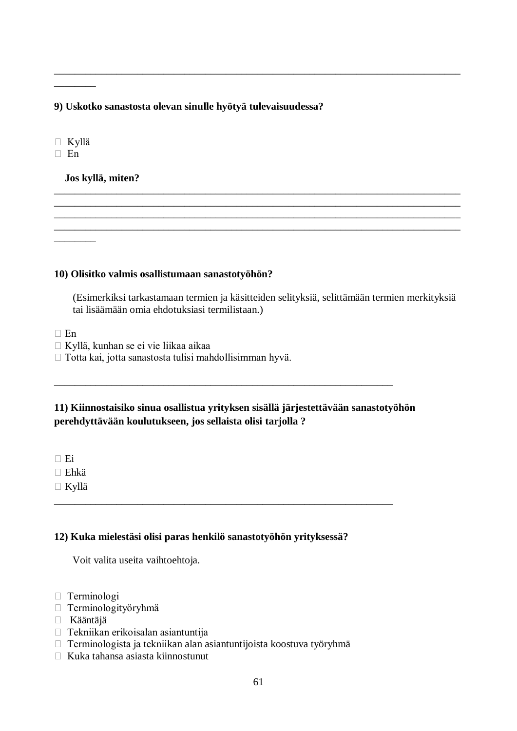**9) Uskotko sanastosta olevan sinulle hyötyä tulevaisuudessa?**

Kyllä

\_\_\_\_\_\_\_\_

 $\overline{\phantom{a}}$ 

 $\Box$  En

# **Jos kyllä, miten?**

**10) Olisitko valmis osallistumaan sanastotyöhön?** 

(Esimerkiksi tarkastamaan termien ja käsitteiden selityksiä, selittämään termien merkityksiä tai lisäämään omia ehdotuksiasi termilistaan.)

\_\_\_\_\_\_\_\_\_\_\_\_\_\_\_\_\_\_\_\_\_\_\_\_\_\_\_\_\_\_\_\_\_\_\_\_\_\_\_\_\_\_\_\_\_\_\_\_\_\_\_\_\_\_\_\_\_\_\_\_\_\_\_\_\_\_\_\_\_\_\_\_\_\_\_\_\_\_

\_\_\_\_\_\_\_\_\_\_\_\_\_\_\_\_\_\_\_\_\_\_\_\_\_\_\_\_\_\_\_\_\_\_\_\_\_\_\_\_\_\_\_\_\_\_\_\_\_\_\_\_\_\_\_\_\_\_\_\_\_\_\_\_\_\_\_\_\_\_\_\_\_\_\_\_\_\_ \_\_\_\_\_\_\_\_\_\_\_\_\_\_\_\_\_\_\_\_\_\_\_\_\_\_\_\_\_\_\_\_\_\_\_\_\_\_\_\_\_\_\_\_\_\_\_\_\_\_\_\_\_\_\_\_\_\_\_\_\_\_\_\_\_\_\_\_\_\_\_\_\_\_\_\_\_\_ \_\_\_\_\_\_\_\_\_\_\_\_\_\_\_\_\_\_\_\_\_\_\_\_\_\_\_\_\_\_\_\_\_\_\_\_\_\_\_\_\_\_\_\_\_\_\_\_\_\_\_\_\_\_\_\_\_\_\_\_\_\_\_\_\_\_\_\_\_\_\_\_\_\_\_\_\_\_ \_\_\_\_\_\_\_\_\_\_\_\_\_\_\_\_\_\_\_\_\_\_\_\_\_\_\_\_\_\_\_\_\_\_\_\_\_\_\_\_\_\_\_\_\_\_\_\_\_\_\_\_\_\_\_\_\_\_\_\_\_\_\_\_\_\_\_\_\_\_\_\_\_\_\_\_\_\_

 $\Box$  En

Kyllä, kunhan se ei vie liikaa aikaa

□ Totta kai, jotta sanastosta tulisi mahdollisimman hyvä.

# **11) Kiinnostaisiko sinua osallistua yrityksen sisällä järjestettävään sanastotyöhön perehdyttävään koulutukseen, jos sellaista olisi tarjolla ?**

\_\_\_\_\_\_\_\_\_\_\_\_\_\_\_\_\_\_\_\_\_\_\_\_\_\_\_\_\_\_\_\_\_\_\_\_\_\_\_\_\_\_\_\_\_\_\_\_\_\_\_\_\_\_\_\_\_\_\_\_\_\_\_\_\_

\_\_\_\_\_\_\_\_\_\_\_\_\_\_\_\_\_\_\_\_\_\_\_\_\_\_\_\_\_\_\_\_\_\_\_\_\_\_\_\_\_\_\_\_\_\_\_\_\_\_\_\_\_\_\_\_\_\_\_\_\_\_\_\_\_

 $\Box$  Ei

- $\Box$  Ehkä
- Kyllä

# **12) Kuka mielestäsi olisi paras henkilö sanastotyöhön yrityksessä?**

Voit valita useita vaihtoehtoja.

- Terminologi
- Terminologityöryhmä
- Kääntäjä
- Tekniikan erikoisalan asiantuntija
- Terminologista ja tekniikan alan asiantuntijoista koostuva työryhmä
- $\Box$  Kuka tahansa asiasta kiinnostunut